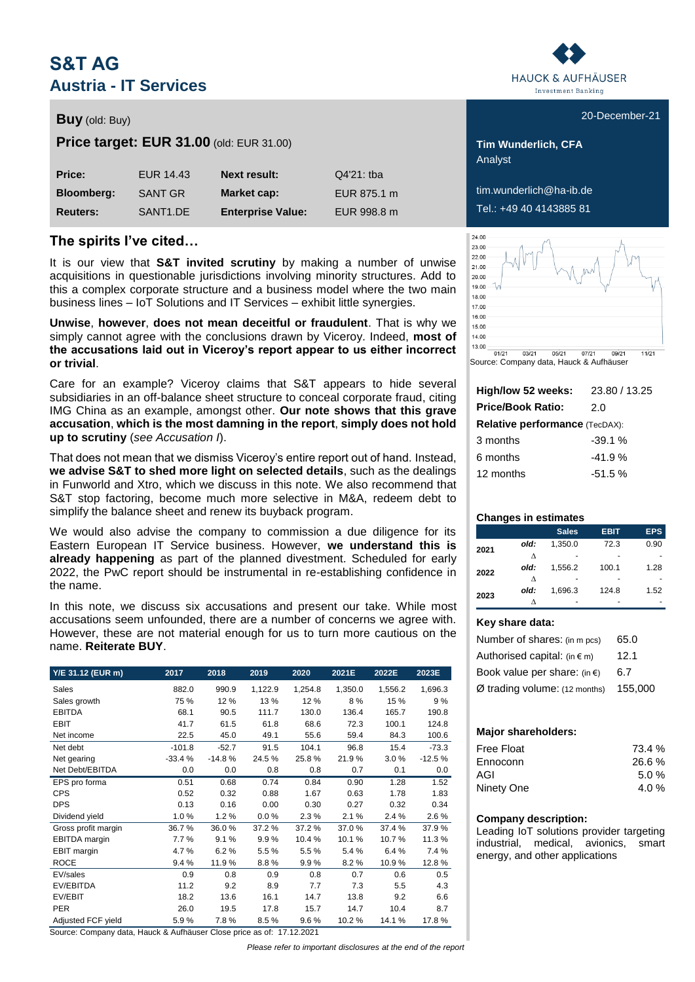# **S&T AG Austria - IT Services**

## **Buy** (old: Buy) **Buy** (old: Buy) **1999**

**Price target: EUR 31.00** (old: EUR 31.00) **Tim Wunderlich, CFA** 

| Price:            | EUR 14.43            | <b>Next result:</b>      | $Q4'21$ : tba |
|-------------------|----------------------|--------------------------|---------------|
| <b>Bloomberg:</b> | <b>SANT GR</b>       | Market cap:              | EUR 875.1 m   |
| <b>Reuters:</b>   | SANT <sub>1.DE</sub> | <b>Enterprise Value:</b> | EUR 998.8 m   |

### **The spirits I've cited…**

It is our view that **S&T invited scrutiny** by making a number of unwise acquisitions in questionable jurisdictions involving minority structures. Add to this a complex corporate structure and a business model where the two main business lines – IoT Solutions and IT Services – exhibit little synergies.

**Unwise**, **however**, **does not mean deceitful or fraudulent**. That is why we simply cannot agree with the conclusions drawn by Viceroy. Indeed, **most of the accusations laid out in Viceroy's report appear to us either incorrect or trivial**.

Care for an example? Viceroy claims that S&T appears to hide several subsidiaries in an off-balance sheet structure to conceal corporate fraud, citing IMG China as an example, amongst other. **Our note shows that this grave accusation**, **which is the most damning in the report**, **simply does not hold up to scrutiny** (*see Accusation I*).

That does not mean that we dismiss Viceroy's entire report out of hand. Instead, **we advise S&T to shed more light on selected details**, such as the dealings in Funworld and Xtro, which we discuss in this note. We also recommend that S&T stop factoring, become much more selective in M&A, redeem debt to simplify the balance sheet and renew its buyback program.

We would also advise the company to commission a due diligence for its Eastern European IT Service business. However, **we understand this is already happening** as part of the planned divestment. Scheduled for early 2022, the PwC report should be instrumental in re-establishing confidence in the name.

In this note, we discuss six accusations and present our take. While most accusations seem unfounded, there are a number of concerns we agree with. However, these are not material enough for us to turn more cautious on the name. **Reiterate BUY**.

| Y/E 31.12 (EUR m)    | 2017     | 2018     | 2019    | 2020    | 2021E   | 2022E   | 2023E    |
|----------------------|----------|----------|---------|---------|---------|---------|----------|
| Sales                | 882.0    | 990.9    | 1,122.9 | 1,254.8 | 1,350.0 | 1,556.2 | 1,696.3  |
| Sales growth         | 75 %     | 12%      | 13%     | 12%     | 8%      | 15 %    | 9%       |
| <b>EBITDA</b>        | 68.1     | 90.5     | 111.7   | 130.0   | 136.4   | 165.7   | 190.8    |
| <b>EBIT</b>          | 41.7     | 61.5     | 61.8    | 68.6    | 72.3    | 100.1   | 124.8    |
| Net income           | 22.5     | 45.0     | 49.1    | 55.6    | 59.4    | 84.3    | 100.6    |
| Net debt             | $-101.8$ | $-52.7$  | 91.5    | 104.1   | 96.8    | 15.4    | $-73.3$  |
| Net gearing          | $-33.4%$ | $-14.8%$ | 24.5%   | 25.8%   | 21.9%   | 3.0%    | $-12.5%$ |
| Net Debt/EBITDA      | 0.0      | 0.0      | 0.8     | 0.8     | 0.7     | 0.1     | 0.0      |
| EPS pro forma        | 0.51     | 0.68     | 0.74    | 0.84    | 0.90    | 1.28    | 1.52     |
| <b>CPS</b>           | 0.52     | 0.32     | 0.88    | 1.67    | 0.63    | 1.78    | 1.83     |
| <b>DPS</b>           | 0.13     | 0.16     | 0.00    | 0.30    | 0.27    | 0.32    | 0.34     |
| Dividend yield       | 1.0%     | 1.2%     | 0.0%    | 2.3%    | 2.1%    | 2.4 %   | 2.6%     |
| Gross profit margin  | 36.7%    | 36.0%    | 37.2 %  | 37.2%   | 37.0%   | 37.4 %  | 37.9%    |
| <b>EBITDA</b> margin | 7.7%     | 9.1%     | 9.9%    | 10.4%   | 10.1%   | 10.7%   | 11.3%    |
| EBIT margin          | 4.7%     | 6.2%     | 5.5%    | 5.5%    | 5.4%    | 6.4%    | 7.4 %    |
| <b>ROCE</b>          | 9.4%     | 11.9%    | 8.8%    | 9.9%    | 8.2%    | 10.9%   | 12.8%    |
| EV/sales             | 0.9      | 0.8      | 0.9     | 0.8     | 0.7     | 0.6     | 0.5      |
| EV/EBITDA            | 11.2     | 9.2      | 8.9     | 7.7     | 7.3     | 5.5     | 4.3      |
| EV/EBIT              | 18.2     | 13.6     | 16.1    | 14.7    | 13.8    | 9.2     | 6.6      |
| <b>PER</b>           | 26.0     | 19.5     | 17.8    | 15.7    | 14.7    | 10.4    | 8.7      |
| Adjusted FCF yield   | 5.9%     | 7.8%     | 8.5%    | 9.6%    | 10.2%   | 14.1%   | 17.8%    |

Source: Company data, Hauck & Aufhäuser Close price as of: 17.12.2021

*Please refer to important disclosures at the end of the report*



Analyst

 $\lim_{x \to a}$  wunderlich@ha-ib.de **Reuters:** SANT1.DE **Enterprise Value:** EUR 998.8 m Tel.: +49 40 4143885 81



Source: Company data, Hauck & Aufhäuser

| 23.80 / 13.25                         |
|---------------------------------------|
| 2.0                                   |
| <b>Relative performance (TecDAX):</b> |
| $-39.1%$                              |
| $-41.9%$                              |
| $-51.5%$                              |
|                                       |

### **Changes in estimates**

|      |      | <b>Sales</b> | <b>EBIT</b> | <b>EPS</b> |
|------|------|--------------|-------------|------------|
| 2021 | old: | 1.350.0      | 72.3        | 0.90       |
|      | л    |              |             |            |
| 2022 | old: | 1.556.2      | 100.1       | 1.28       |
|      | л    |              |             |            |
|      | old: | 1.696.3      | 124.8       | 1.52       |
| 2023 |      |              |             |            |

### **Key share data:**

| Number of shares: (in m pcs)     | 65.0    |
|----------------------------------|---------|
| Authorised capital: $(in \in m)$ | 12.1    |
| Book value per share: $(in \in)$ | 6.7     |
| $Ø$ trading volume: (12 months)  | 155.000 |

### **Major shareholders:**

| 73.4 %  |
|---------|
| 26.6%   |
| 5.0%    |
| 4.0 $%$ |
|         |

### **Company description:**

Leading IoT solutions provider targeting industrial, medical, avionics, smart energy, and other applications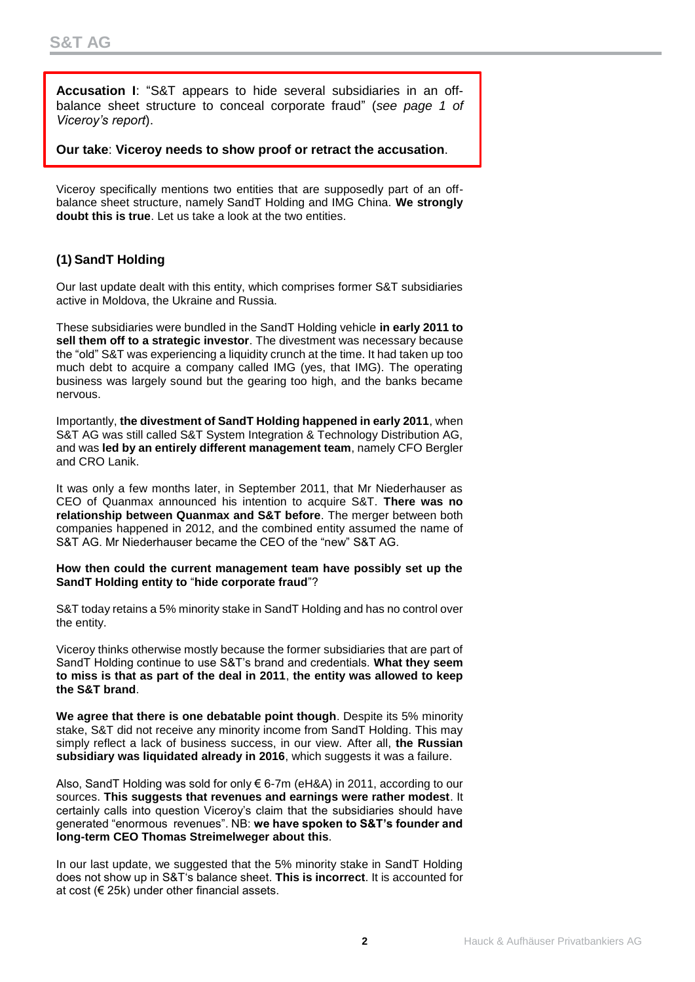**Accusation I**: "S&T appears to hide several subsidiaries in an offbalance sheet structure to conceal corporate fraud" (*see page 1 of Viceroy's report*).

**Our take**: **Viceroy needs to show proof or retract the accusation**.

Viceroy specifically mentions two entities that are supposedly part of an offbalance sheet structure, namely SandT Holding and IMG China. **We strongly doubt this is true**. Let us take a look at the two entities.

## **(1) SandT Holding**

Our last update dealt with this entity, which comprises former S&T subsidiaries active in Moldova, the Ukraine and Russia.

These subsidiaries were bundled in the SandT Holding vehicle **in early 2011 to sell them off to a strategic investor**. The divestment was necessary because the "old" S&T was experiencing a liquidity crunch at the time. It had taken up too much debt to acquire a company called IMG (yes, that IMG). The operating business was largely sound but the gearing too high, and the banks became nervous.

Importantly, **the divestment of SandT Holding happened in early 2011**, when S&T AG was still called S&T System Integration & Technology Distribution AG, and was **led by an entirely different management team**, namely CFO Bergler and CRO Lanik.

It was only a few months later, in September 2011, that Mr Niederhauser as CEO of Quanmax announced his intention to acquire S&T. **There was no relationship between Quanmax and S&T before**. The merger between both companies happened in 2012, and the combined entity assumed the name of S&T AG. Mr Niederhauser became the CEO of the "new" S&T AG.

### **How then could the current management team have possibly set up the SandT Holding entity to** "**hide corporate fraud**"?

S&T today retains a 5% minority stake in SandT Holding and has no control over the entity.

Viceroy thinks otherwise mostly because the former subsidiaries that are part of SandT Holding continue to use S&T's brand and credentials. **What they seem to miss is that as part of the deal in 2011**, **the entity was allowed to keep the S&T brand**.

**We agree that there is one debatable point though**. Despite its 5% minority stake, S&T did not receive any minority income from SandT Holding. This may simply reflect a lack of business success, in our view. After all, **the Russian subsidiary was liquidated already in 2016**, which suggests it was a failure.

Also, SandT Holding was sold for only € 6-7m (eH&A) in 2011, according to our sources. **This suggests that revenues and earnings were rather modest**. It certainly calls into question Viceroy's claim that the subsidiaries should have generated "enormous revenues". NB: **we have spoken to S&T's founder and long-term CEO Thomas Streimelweger about this**.

In our last update, we suggested that the 5% minority stake in SandT Holding does not show up in S&T's balance sheet. **This is incorrect**. It is accounted for at cost (€ 25k) under other financial assets.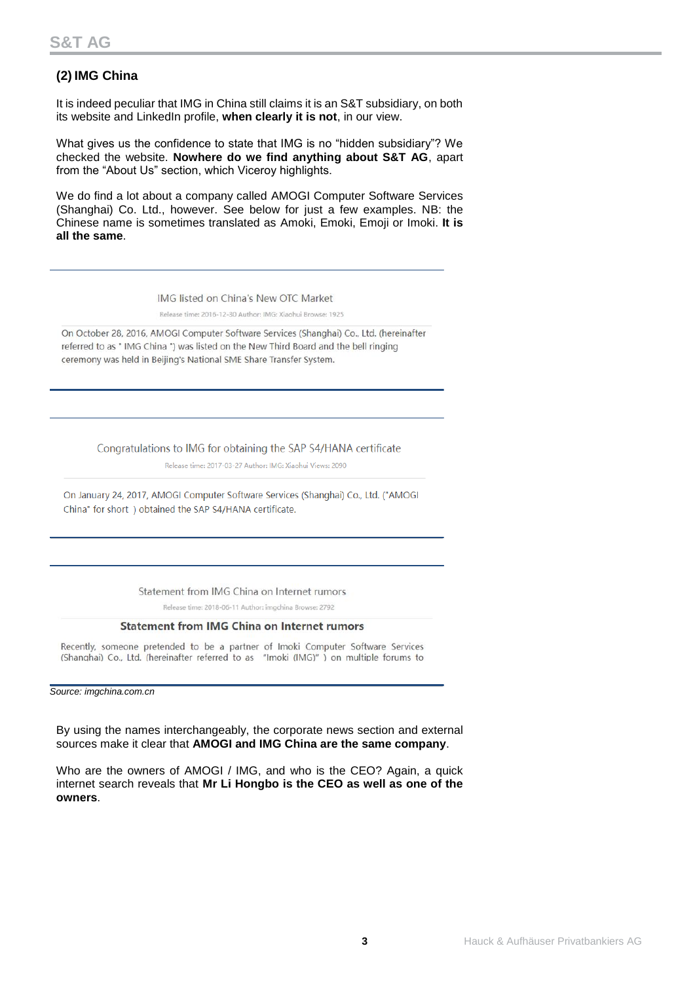## **(2) IMG China**

It is indeed peculiar that IMG in China still claims it is an S&T subsidiary, on both its website and LinkedIn profile, **when clearly it is not**, in our view.

What gives us the confidence to state that IMG is no "hidden subsidiary"? We checked the website. **Nowhere do we find anything about S&T AG**, apart from the "About Us" section, which Viceroy highlights.

We do find a lot about a company called AMOGI Computer Software Services (Shanghai) Co. Ltd., however. See below for just a few examples. NB: the Chinese name is sometimes translated as Amoki, Emoki, Emoji or Imoki. **It is all the same**.

IMG listed on China's New OTC Market

Release time: 2016-12-30 Author: IMG: Xiaohui Browse: 1925

On October 28, 2016, AMOGI Computer Software Services (Shanghai) Co., Ltd. (hereinafter referred to as "IMG China ") was listed on the New Third Board and the bell ringing ceremony was held in Beijing's National SME Share Transfer System.

Congratulations to IMG for obtaining the SAP S4/HANA certificate

Release time: 2017-03-27 Author: IMG: Xiaohui Views: 2090

On January 24, 2017, AMOGI Computer Software Services (Shanghai) Co., Ltd. ("AMOGI China" for short ) obtained the SAP S4/HANA certificate.

Statement from IMG China on Internet rumors

Release time: 2018-06-11 Author: imgchina Browse: 2792

### **Statement from IMG China on Internet rumors**

Recently, someone pretended to be a partner of Imoki Computer Software Services (Shanghai) Co., Ltd. (hereinafter referred to as "Imoki (IMG)" ) on multiple forums to

*Source: imgchina.com.cn*

By using the names interchangeably, the corporate news section and external sources make it clear that **AMOGI and IMG China are the same company**.

Who are the owners of AMOGI / IMG, and who is the CEO? Again, a quick internet search reveals that **Mr Li Hongbo is the CEO as well as one of the owners**.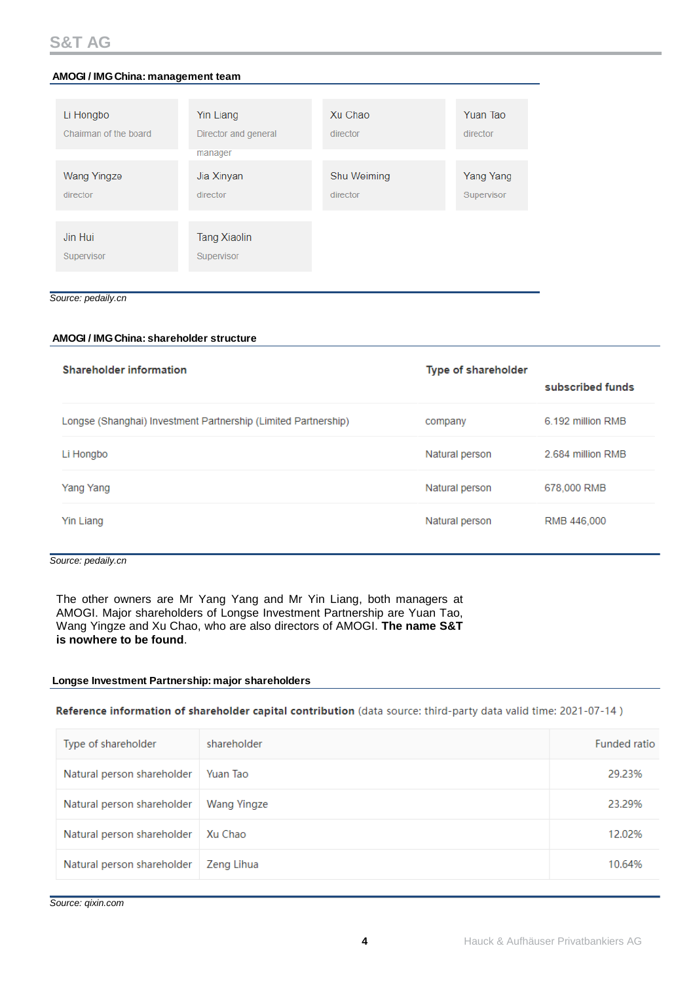| Li Hongbo<br>Chairman of the board | Yin Liang<br>Director and general | Xu Chao<br>director | Yuan Tao<br>director |
|------------------------------------|-----------------------------------|---------------------|----------------------|
|                                    | manager                           |                     |                      |
| Wang Yingze                        | Jia Xinyan                        | Shu Weiming         | Yang Yang            |
| director                           | director                          | director            | Supervisor           |
|                                    |                                   |                     |                      |
| Jin Hui                            | <b>Tang Xiaolin</b>               |                     |                      |
| Supervisor                         | Supervisor                        |                     |                      |
|                                    |                                   |                     |                      |

### *Source: pedaily.cn*

| AMOGI / IMG China: management team                                                                                                                                                                                                                                                                                               |                                          |             |                     |                   |  |
|----------------------------------------------------------------------------------------------------------------------------------------------------------------------------------------------------------------------------------------------------------------------------------------------------------------------------------|------------------------------------------|-------------|---------------------|-------------------|--|
|                                                                                                                                                                                                                                                                                                                                  |                                          | Xu Chao     | Yuan Tao            |                   |  |
| Li Hongbo<br>Chairman of the board                                                                                                                                                                                                                                                                                               | <b>Yin Liang</b><br>Director and general | director    | director            |                   |  |
|                                                                                                                                                                                                                                                                                                                                  | manager                                  |             |                     |                   |  |
| <b>Wang Yingze</b>                                                                                                                                                                                                                                                                                                               | Jia Xinyan                               | Shu Weiming | Yang Yang           |                   |  |
| director                                                                                                                                                                                                                                                                                                                         | director                                 | director    | Supervisor          |                   |  |
|                                                                                                                                                                                                                                                                                                                                  |                                          |             |                     |                   |  |
| Jin Hui                                                                                                                                                                                                                                                                                                                          | <b>Tang Xiaolin</b>                      |             |                     |                   |  |
| Supervisor                                                                                                                                                                                                                                                                                                                       | Supervisor                               |             |                     |                   |  |
|                                                                                                                                                                                                                                                                                                                                  |                                          |             |                     |                   |  |
| Source: pedaily.cn                                                                                                                                                                                                                                                                                                               |                                          |             |                     |                   |  |
|                                                                                                                                                                                                                                                                                                                                  |                                          |             |                     |                   |  |
| AMOGI / IMG China: shareholder structure                                                                                                                                                                                                                                                                                         |                                          |             |                     |                   |  |
| <b>Shareholder information</b>                                                                                                                                                                                                                                                                                                   |                                          |             | Type of shareholder |                   |  |
|                                                                                                                                                                                                                                                                                                                                  |                                          |             |                     | subscribed funds  |  |
| Longse (Shanghai) Investment Partnership (Limited Partnership)                                                                                                                                                                                                                                                                   |                                          |             | company             | 6.192 million RMB |  |
| Li Hongbo                                                                                                                                                                                                                                                                                                                        |                                          |             | Natural person      | 2.684 million RMB |  |
| Yang Yang                                                                                                                                                                                                                                                                                                                        |                                          |             | Natural person      | 678,000 RMB       |  |
| Yin Liang                                                                                                                                                                                                                                                                                                                        |                                          |             | Natural person      | RMB 446,000       |  |
| Source: pedaily.cn<br>The other owners are Mr Yang Yang and Mr Yin Liang, both managers at<br>AMOGI. Major shareholders of Longse Investment Partnership are Yuan Tao,<br>Wang Yingze and Xu Chao, who are also directors of AMOGI. The name S&T<br>is nowhere to be found.<br>Longse Investment Partnership: major shareholders |                                          |             |                     |                   |  |
| Reference information of shareholder capital contribution (data source: third-party data valid time: 2021-07-14)                                                                                                                                                                                                                 |                                          |             |                     |                   |  |
| Type of shareholder                                                                                                                                                                                                                                                                                                              | shareholder                              |             |                     | Funded ratio      |  |
| Natural person shareholder                                                                                                                                                                                                                                                                                                       | Yuan Tao                                 |             |                     | 29.23%            |  |
| Natural person shareholder                                                                                                                                                                                                                                                                                                       | <b>Wang Yingze</b>                       |             |                     | 23.29%            |  |
| Natural person shareholder                                                                                                                                                                                                                                                                                                       | Xu Chao                                  |             |                     | 12.02%            |  |
| Natural person shareholder                                                                                                                                                                                                                                                                                                       | Zeng Lihua                               |             |                     | 10.64%            |  |
| Source: qixin.com                                                                                                                                                                                                                                                                                                                |                                          |             |                     |                   |  |

### *Source: pedaily.cn*

| Type of shareholder        | shareholder | Funded ratio |
|----------------------------|-------------|--------------|
| Natural person shareholder | Yuan Tao    | 29.23%       |
| Natural person shareholder | Wang Yingze | 23.29%       |
| Natural person shareholder | Xu Chao     | 12.02%       |
| Natural person shareholder | Zeng Lihua  | 10.64%       |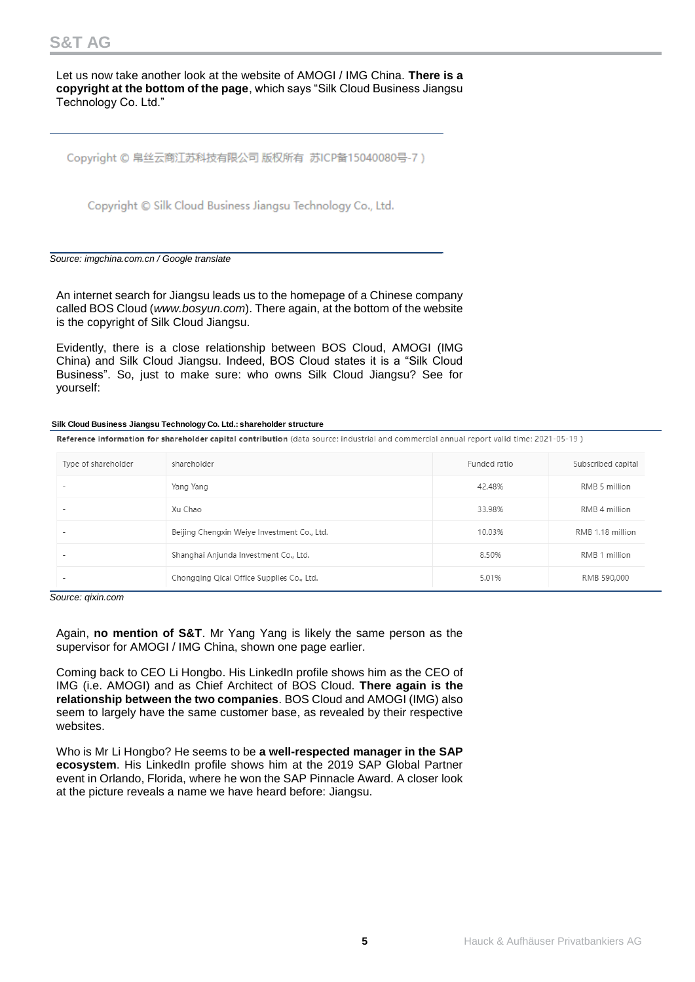Let us now take another look at the website of AMOGI / IMG China. **There is a copyright at the bottom of the page**, which says "Silk Cloud Business Jiangsu Technology Co. Ltd."

Copyright © 帛丝云商江苏科技有限公司 版权所有 苏ICP备15040080号-7)

Copyright © Silk Cloud Business Jiangsu Technology Co., Ltd.

*Source: imgchina.com.cn / Google translate*

An internet search for Jiangsu leads us to the homepage of a Chinese company called BOS Cloud (*[www.bosyun.com](http://www.bosyun.com/)*). There again, at the bottom of the website is the copyright of Silk Cloud Jiangsu.

Evidently, there is a close relationship between BOS Cloud, AMOGI (IMG China) and Silk Cloud Jiangsu. Indeed, BOS Cloud states it is a "Silk Cloud Business". So, just to make sure: who owns Silk Cloud Jiangsu? See for yourself:

### **Silk Cloud Business Jiangsu Technology Co. Ltd.: shareholder structure**

Reference information for shareholder capital contribution (data source: industrial and commercial annual report valid time: 2021-05-19)

| Type of shareholder | shareholder                                 | Funded ratio | Subscribed capital |
|---------------------|---------------------------------------------|--------------|--------------------|
|                     | Yang Yang                                   | 42.48%       | RMB 5 million      |
|                     | Xu Chao                                     | 33.98%       | RMB 4 million      |
|                     | Beijing Chengxin Weiye Investment Co., Ltd. | 10.03%       | RMB 1.18 million   |
|                     | Shanghai Anjunda Investment Co., Ltd.       | 8.50%        | RMB 1 million      |
|                     | Chongqing Qicai Office Supplies Co., Ltd.   | 5.01%        | RMB 590,000        |

*Source: qixin.com*

Again, **no mention of S&T**. Mr Yang Yang is likely the same person as the supervisor for AMOGI / IMG China, shown one page earlier.

Coming back to CEO Li Hongbo. His LinkedIn profile shows him as the CEO of IMG (i.e. AMOGI) and as Chief Architect of BOS Cloud. **There again is the relationship between the two companies**. BOS Cloud and AMOGI (IMG) also seem to largely have the same customer base, as revealed by their respective websites.

Who is Mr Li Hongbo? He seems to be **a well-respected manager in the SAP ecosystem**. His LinkedIn profile shows him at the 2019 SAP Global Partner event in Orlando, Florida, where he won the SAP Pinnacle Award. A closer look at the picture reveals a name we have heard before: Jiangsu.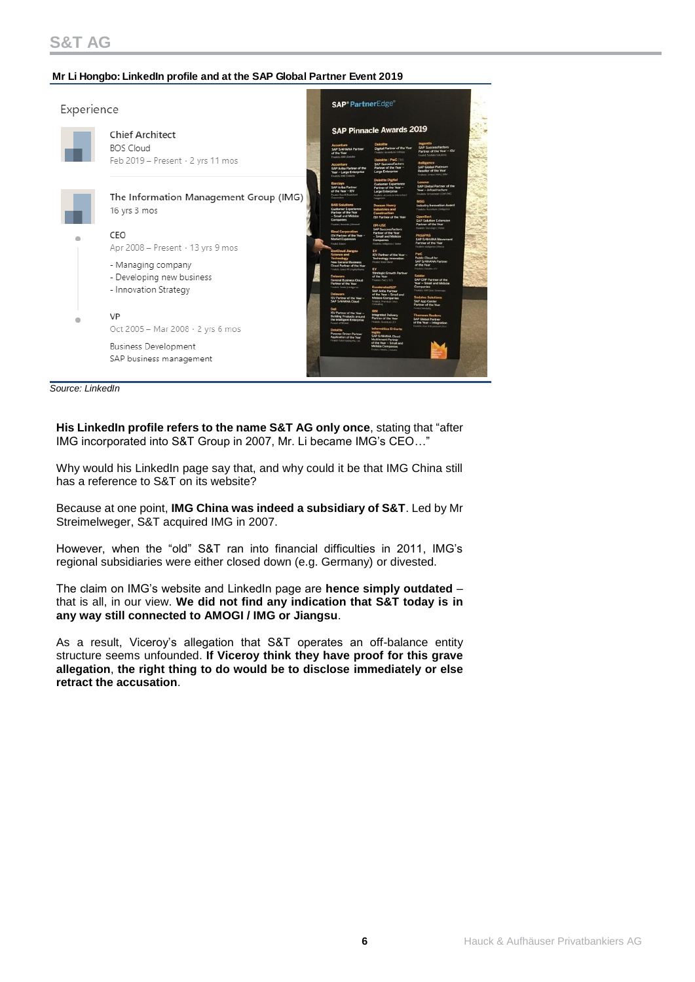### **Mr Li Hongbo: LinkedIn profile and at the SAP Global Partner Event 2019**

| Experience |                                                        |  | <b>SAP®PartnerEdge</b>                                                                                                                     |                                                                                                                                               |                                                                                                                                                            |  |
|------------|--------------------------------------------------------|--|--------------------------------------------------------------------------------------------------------------------------------------------|-----------------------------------------------------------------------------------------------------------------------------------------------|------------------------------------------------------------------------------------------------------------------------------------------------------------|--|
|            | <b>Chief Architect</b>                                 |  |                                                                                                                                            |                                                                                                                                               |                                                                                                                                                            |  |
|            | <b>BOS Cloud</b><br>Feb 2019 - Present · 2 yrs 11 mos  |  | <b>Accenture</b><br><b>SAP S/4HANA Partner</b><br>of the Year<br>Finalists EM   Delatte<br>Accenture                                       | <b>Deloitte</b><br>Digital Partner of the Year<br>Finance: Accordure   Informa<br>Deloitte   PwC (In)<br><b>SAP SuccessFactors</b>            | Ingentis<br><b>SAP SuccessFactors</b><br>Partner of the Year - ISV<br>Finaled Sociales Solutions<br>itelligence<br><b>SAP Global Platinum</b>              |  |
|            |                                                        |  | SAP Ariba Partner of the<br>Year - Large Enterprise<br><b>Kingdoby Star Colorbir</b>                                                       | Partner of the Year -<br><b>Large Enterprise</b><br><b>Deloitte Digital</b>                                                                   | Reseller of the Year.<br>Finalistic United VARs   IBM                                                                                                      |  |
|            | The Information Management Group (IMG)                 |  | <b>Barclays</b><br>SAP Ariba Partner<br>of the Year - ISV<br>Finalst Dun & Brachtmet<br>Corporation                                        | <b>Customer Experience</b><br>Partner of the Year -<br><b>Large Enterprise</b><br>Fruints Accenture Interactive                               | Lenovo<br>SAP Global Partner of the<br>Year - Infrastructure<br>Finalists: Virtustriam   Dell EMC<br><b>MSG</b>                                            |  |
|            | 16 yrs 3 mos                                           |  | <b>B4B Solutions</b><br><b>Customer Experience</b><br>Partner of the Year<br>- Small and Midsize<br><b>Companies</b>                       | <b>Doosan Heavy</b><br><b>Industries and</b><br>Construction<br><b>ISV Partner of the Year</b>                                                | <b>Industry Innovation Award</b><br>Finalshi: Accordure Libritannes<br><b>OpenText</b><br><b>SAP Solution Extension</b>                                    |  |
|            | CEO                                                    |  | Financial Novembra 2 Bietersoft<br><b>Binal Corporation</b><br><b>ISV Partner of the Year -</b><br><b>Market Expansion</b><br>Finalet Emen | <b>FPI-USE</b><br><b>SAP SuccessFactors</b><br>Partner of the Year<br>- Small and Midsize<br><b>Companies</b><br>Finalish: Indiannes J Seidor | Partner of the Year<br>Finalish: DocuSign 1 Visiter<br><b>PASAPAS</b><br><b>SAP S/4HANA Movement</b><br>Partner of the Year<br>Finalish, deligence   Honor |  |
|            | Apr 2008 - Present · 13 yrs 9 mos                      |  | <b>BosCloud Jiangsu</b><br><b>Science and</b><br>fechnology                                                                                | EY<br>ISV Partner of the Year -<br><b>Technology Innovation</b>                                                                               | PuC.<br><b>Public Cloud for</b>                                                                                                                            |  |
|            | - Managing company                                     |  | <b>New General Business</b><br>Cloud Partner of the Year<br>Finalists: Gauschill   Apith/Works                                             | Finalist Volcet Dend<br>EY<br><b>Strategic Growth Partner</b>                                                                                 | SAP S/4HANA Partner<br>of the Year<br>Finalists: Dekame   ET                                                                                               |  |
|            | - Developing new business<br>- Innovation Strategy     |  | <b>Delaware</b><br><b>General Business Cloud</b><br><b>Partner of the Year</b><br>Finalists: Soulor   Antigence<br><b>Delaware</b>         | of the Year<br>Finalsts: PaC   TCS<br><b>ExceleratedS2P</b><br><b>SAP Ariba Partner</b><br>of the Year - Small and                            | seidor<br>SAP ERP Partner of the<br>Year - Small and Midsize<br>Companies<br>Finalistic VAR One I Unancom                                                  |  |
|            |                                                        |  | ISV Partner of the Year -<br>SAP S/4HANA Cloud<br>Dell                                                                                     | <b>Midsize Companies</b><br><b>Fridads Premium   Vivo</b><br>Contailling                                                                      | <b>Sodales Solutions</b><br>SAP App Center<br>Partner of the Year<br>Finanz Michiel                                                                        |  |
|            | VP                                                     |  | ISV Partner of the Year -<br><b>Building Products around</b><br>the Intelligent Enterprise<br>Fruitit VITRONIC                             | <b>IRM</b><br><b>Integrated Delivery</b><br>Partner of the Year<br>Teambi Accenture LEY                                                       | <b>Thomson Reuters</b><br><b>SAP Global Partner</b><br>of the Year - Integration<br>Finalish: Dun & Bradsboot / Exc.                                       |  |
|            | Oct 2005 - Mar 2008 $\cdot$ 2 yrs 6 mos                |  | <b>Deloitte</b><br><b>Purpose Driven Partner</b><br>Application of the Year                                                                | Informática El Corte<br><b>SAP S/4HANA Cloud</b><br><b>Multiterunt Partner</b>                                                                |                                                                                                                                                            |  |
|            | <b>Business Development</b><br>SAP business management |  | Finishi Publishing Pic. Ltd.                                                                                                               | of the Year - Small and<br><b>Midsize Companies</b><br>Financial ABANE   Delivere                                                             |                                                                                                                                                            |  |
|            |                                                        |  |                                                                                                                                            |                                                                                                                                               |                                                                                                                                                            |  |

*Source: LinkedIn*

**His LinkedIn profile refers to the name S&T AG only once**, stating that "after IMG incorporated into S&T Group in 2007, Mr. Li became IMG's CEO…"

Why would his LinkedIn page say that, and why could it be that IMG China still has a reference to S&T on its website?

Because at one point, **IMG China was indeed a subsidiary of S&T**. Led by Mr Streimelweger, S&T acquired IMG in 2007.

However, when the "old" S&T ran into financial difficulties in 2011, IMG's regional subsidiaries were either closed down (e.g. Germany) or divested.

The claim on IMG's website and LinkedIn page are **hence simply outdated** – that is all, in our view. **We did not find any indication that S&T today is in any way still connected to AMOGI / IMG or Jiangsu**.

As a result, Viceroy's allegation that S&T operates an off-balance entity structure seems unfounded. **If Viceroy think they have proof for this grave allegation**, **the right thing to do would be to disclose immediately or else retract the accusation**.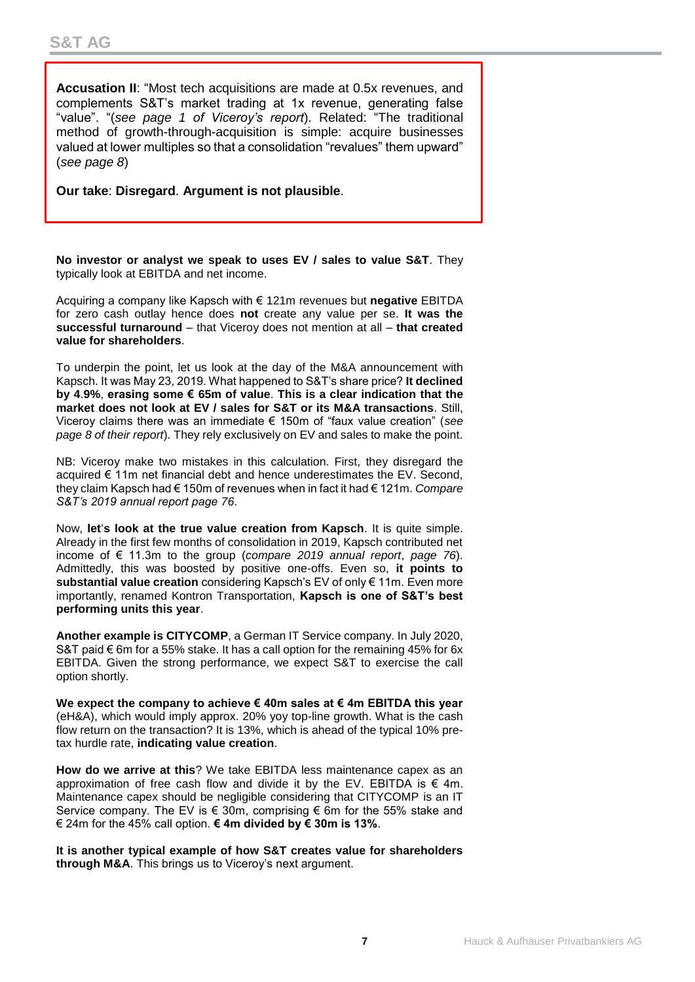**Accusation II**: "Most tech acquisitions are made at 0.5x revenues, and complements S&T's market trading at 1x revenue, generating false "value". "(*see page 1 of Viceroy's report*). Related: "The traditional method of growth-through-acquisition is simple: acquire businesses valued at lower multiples so that a consolidation "revalues" them upward" (*see page 8*)

**Our take**: **Disregard**. **Argument is not plausible**.

**No investor or analyst we speak to uses EV / sales to value S&T**. They typically look at EBITDA and net income.

Acquiring a company like Kapsch with € 121m revenues but **negative** EBITDA for zero cash outlay hence does **not** create any value per se. **It was the successful turnaround** – that Viceroy does not mention at all – **that created value for shareholders**.

To underpin the point, let us look at the day of the M&A announcement with Kapsch. It was May 23, 2019. What happened to S&T's share price? **It declined by 4**.**9%**, **erasing some € 65m of value**. **This is a clear indication that the market does not look at EV / sales for S&T or its M&A transactions**. Still, Viceroy claims there was an immediate € 150m of "faux value creation" (*see page 8 of their report*). They rely exclusively on EV and sales to make the point.

NB: Viceroy make two mistakes in this calculation. First, they disregard the acquired € 11m net financial debt and hence underestimates the EV. Second, they claim Kapsch had € 150m of revenues when in fact it had € 121m. *Compare S&T's 2019 annual report page 76*.

Now, **let**'**s look at the true value creation from Kapsch**. It is quite simple. Already in the first few months of consolidation in 2019, Kapsch contributed net income of € 11.3m to the group (*compare 2019 annual report*, *page 76*). Admittedly, this was boosted by positive one-offs. Even so, **it points to substantial value creation** considering Kapsch's EV of only € 11m. Even more importantly, renamed Kontron Transportation, **Kapsch is one of S&T's best performing units this year**.

**Another example is CITYCOMP**, a German IT Service company. In July 2020, S&T paid € 6m for a 55% stake. It has a call option for the remaining 45% for 6x EBITDA. Given the strong performance, we expect S&T to exercise the call option shortly.

**We expect the company to achieve € 40m sales at € 4m EBITDA this year** (eH&A), which would imply approx. 20% yoy top-line growth. What is the cash flow return on the transaction? It is 13%, which is ahead of the typical 10% pretax hurdle rate, **indicating value creation**.

**How do we arrive at this**? We take EBITDA less maintenance capex as an approximation of free cash flow and divide it by the EV. EBITDA is  $\epsilon$  4m. Maintenance capex should be negligible considering that CITYCOMP is an IT Service company. The EV is  $\epsilon$  30m, comprising  $\epsilon$  6m for the 55% stake and € 24m for the 45% call option. **€ 4m divided by € 30m is 13%**.

**It is another typical example of how S&T creates value for shareholders through M&A**. This brings us to Viceroy's next argument.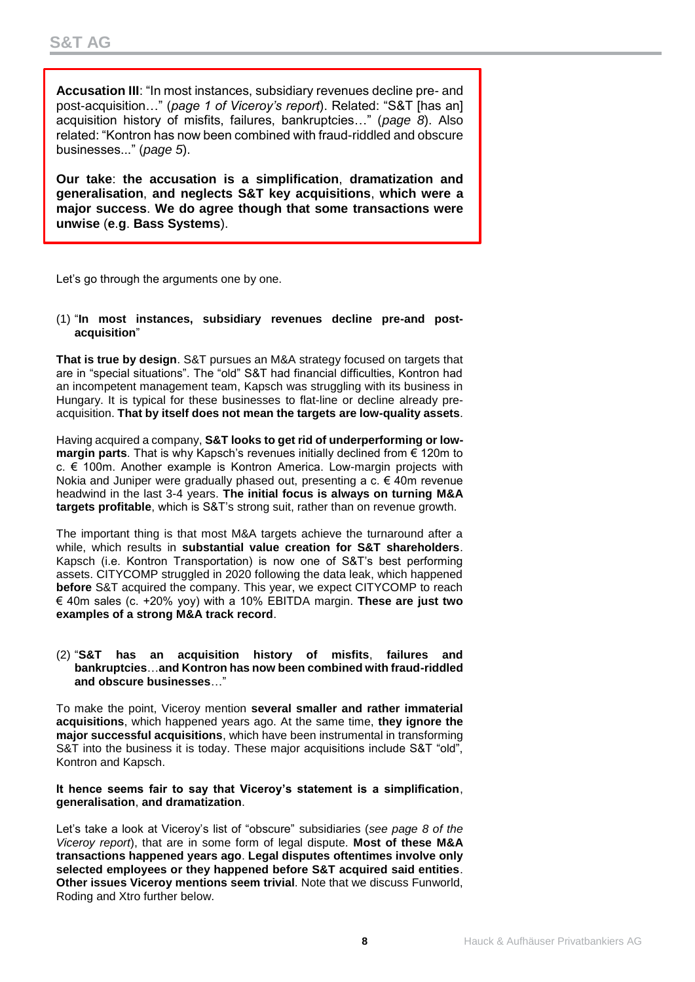**Accusation III**: "In most instances, subsidiary revenues decline pre- and post-acquisition…" (*page 1 of Viceroy's report*). Related: "S&T [has an] acquisition history of misfits, failures, bankruptcies…" (*page 8*). Also related: "Kontron has now been combined with fraud-riddled and obscure businesses..." (*page 5*).

**Our take**: **the accusation is a simplification**, **dramatization and generalisation**, **and neglects S&T key acquisitions**, **which were a major success**. **We do agree though that some transactions were unwise** (**e**.**g**. **Bass Systems**).

Let's go through the arguments one by one.

(1) "**In most instances, subsidiary revenues decline pre-and postacquisition**"

**That is true by design**. S&T pursues an M&A strategy focused on targets that are in "special situations". The "old" S&T had financial difficulties, Kontron had an incompetent management team, Kapsch was struggling with its business in Hungary. It is typical for these businesses to flat-line or decline already preacquisition. **That by itself does not mean the targets are low-quality assets**.

Having acquired a company, **S&T looks to get rid of underperforming or lowmargin parts**. That is why Kapsch's revenues initially declined from € 120m to c. € 100m. Another example is Kontron America. Low-margin projects with Nokia and Juniper were gradually phased out, presenting a c.  $\epsilon$  40m revenue headwind in the last 3-4 years. **The initial focus is always on turning M&A targets profitable**, which is S&T's strong suit, rather than on revenue growth.

The important thing is that most M&A targets achieve the turnaround after a while, which results in **substantial value creation for S&T shareholders**. Kapsch (i.e. Kontron Transportation) is now one of S&T's best performing assets. CITYCOMP struggled in 2020 following the data leak, which happened **before** S&T acquired the company. This year, we expect CITYCOMP to reach € 40m sales (c. +20% yoy) with a 10% EBITDA margin. **These are just two examples of a strong M&A track record**.

(2) "**S&T has an acquisition history of misfits**, **failures and bankruptcies**…**and Kontron has now been combined with fraud-riddled and obscure businesses**…"

To make the point, Viceroy mention **several smaller and rather immaterial acquisitions**, which happened years ago. At the same time, **they ignore the major successful acquisitions**, which have been instrumental in transforming S&T into the business it is today. These major acquisitions include S&T "old", Kontron and Kapsch.

**It hence seems fair to say that Viceroy's statement is a simplification**, **generalisation**, **and dramatization**.

Let's take a look at Viceroy's list of "obscure" subsidiaries (*see page 8 of the Viceroy report*), that are in some form of legal dispute. **Most of these M&A transactions happened years ago**. **Legal disputes oftentimes involve only selected employees or they happened before S&T acquired said entities**. **Other issues Viceroy mentions seem trivial**. Note that we discuss Funworld, Roding and Xtro further below.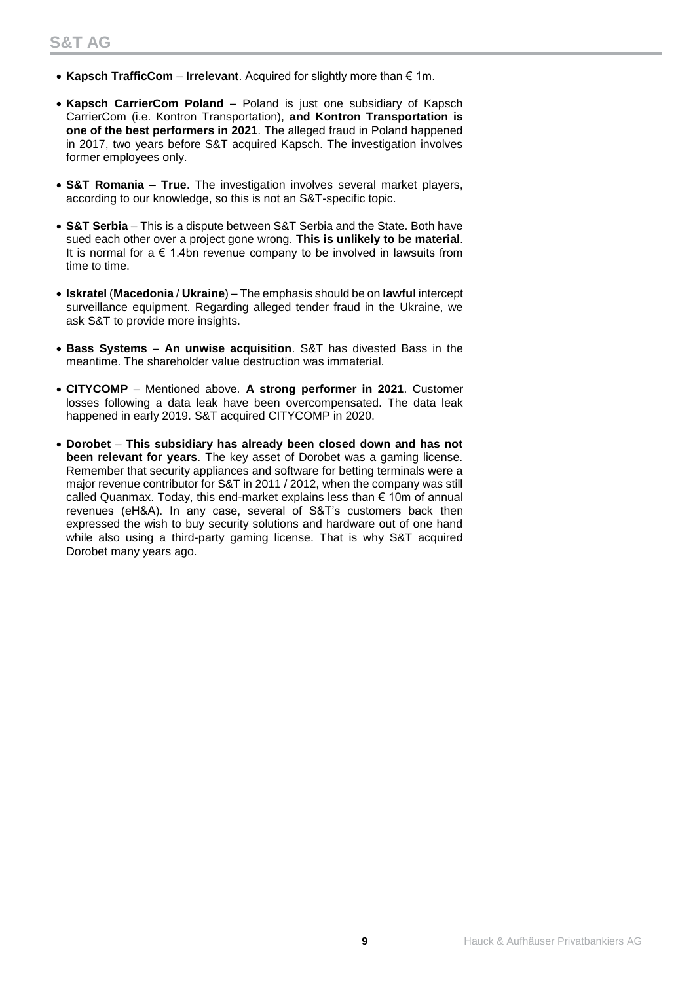- **Kapsch TrafficCom Irrelevant**. Acquired for slightly more than € 1m.
- **Kapsch CarrierCom Poland** Poland is just one subsidiary of Kapsch CarrierCom (i.e. Kontron Transportation), **and Kontron Transportation is one of the best performers in 2021**. The alleged fraud in Poland happened in 2017, two years before S&T acquired Kapsch. The investigation involves former employees only.
- **S&T Romania True**. The investigation involves several market players, according to our knowledge, so this is not an S&T-specific topic.
- **S&T Serbia** This is a dispute between S&T Serbia and the State. Both have sued each other over a project gone wrong. **This is unlikely to be material**. It is normal for a  $\epsilon$  1.4bn revenue company to be involved in lawsuits from time to time.
- **Iskratel** (**Macedonia** / **Ukraine**) The emphasis should be on **lawful** intercept surveillance equipment. Regarding alleged tender fraud in the Ukraine, we ask S&T to provide more insights.
- **Bass Systems An unwise acquisition**. S&T has divested Bass in the meantime. The shareholder value destruction was immaterial.
- **CITYCOMP** Mentioned above. **A strong performer in 2021**. Customer losses following a data leak have been overcompensated. The data leak happened in early 2019. S&T acquired CITYCOMP in 2020.
- **Dorobet This subsidiary has already been closed down and has not been relevant for years**. The key asset of Dorobet was a gaming license. Remember that security appliances and software for betting terminals were a major revenue contributor for S&T in 2011 / 2012, when the company was still called Quanmax. Today, this end-market explains less than € 10m of annual revenues (eH&A). In any case, several of S&T's customers back then expressed the wish to buy security solutions and hardware out of one hand while also using a third-party gaming license. That is why S&T acquired Dorobet many years ago.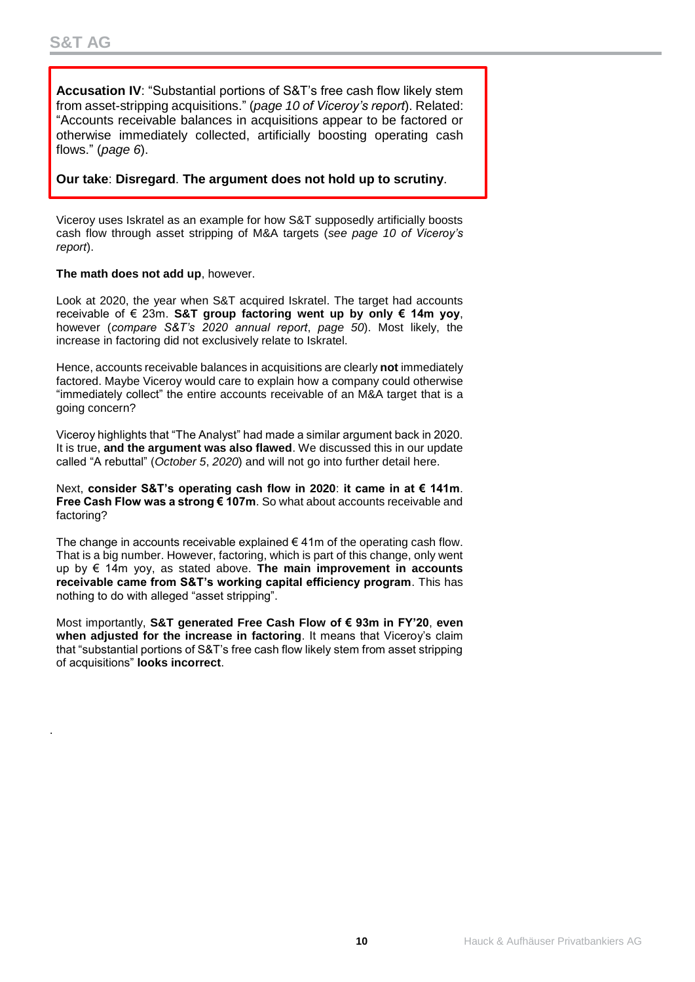.

**Accusation IV**: "Substantial portions of S&T's free cash flow likely stem from asset-stripping acquisitions." (*page 10 of Viceroy's report*). Related: "Accounts receivable balances in acquisitions appear to be factored or otherwise immediately collected, artificially boosting operating cash flows." (*page 6*).

### **Our take**: **Disregard**. **The argument does not hold up to scrutiny**.

Viceroy uses Iskratel as an example for how S&T supposedly artificially boosts cash flow through asset stripping of M&A targets (*see page 10 of Viceroy's report*).

### **The math does not add up**, however.

Look at 2020, the year when S&T acquired Iskratel. The target had accounts receivable of € 23m. **S&T group factoring went up by only € 14m yoy**, however (*compare S&T's 2020 annual report*, *page 50*). Most likely, the increase in factoring did not exclusively relate to Iskratel.

Hence, accounts receivable balances in acquisitions are clearly **not** immediately factored. Maybe Viceroy would care to explain how a company could otherwise "immediately collect" the entire accounts receivable of an M&A target that is a going concern?

Viceroy highlights that "The Analyst" had made a similar argument back in 2020. It is true, **and the argument was also flawed**. We discussed this in our update called "A rebuttal" (*October 5*, *2020*) and will not go into further detail here.

Next, **consider S&T's operating cash flow in 2020**: **it came in at € 141m**. **Free Cash Flow was a strong € 107m**. So what about accounts receivable and factoring?

The change in accounts receivable explained  $\epsilon$  41m of the operating cash flow. That is a big number. However, factoring, which is part of this change, only went up by € 14m yoy, as stated above. **The main improvement in accounts receivable came from S&T's working capital efficiency program**. This has nothing to do with alleged "asset stripping".

Most importantly, **S&T generated Free Cash Flow of € 93m in FY'20**, **even when adjusted for the increase in factoring**. It means that Viceroy's claim that "substantial portions of S&T's free cash flow likely stem from asset stripping of acquisitions" **looks incorrect**.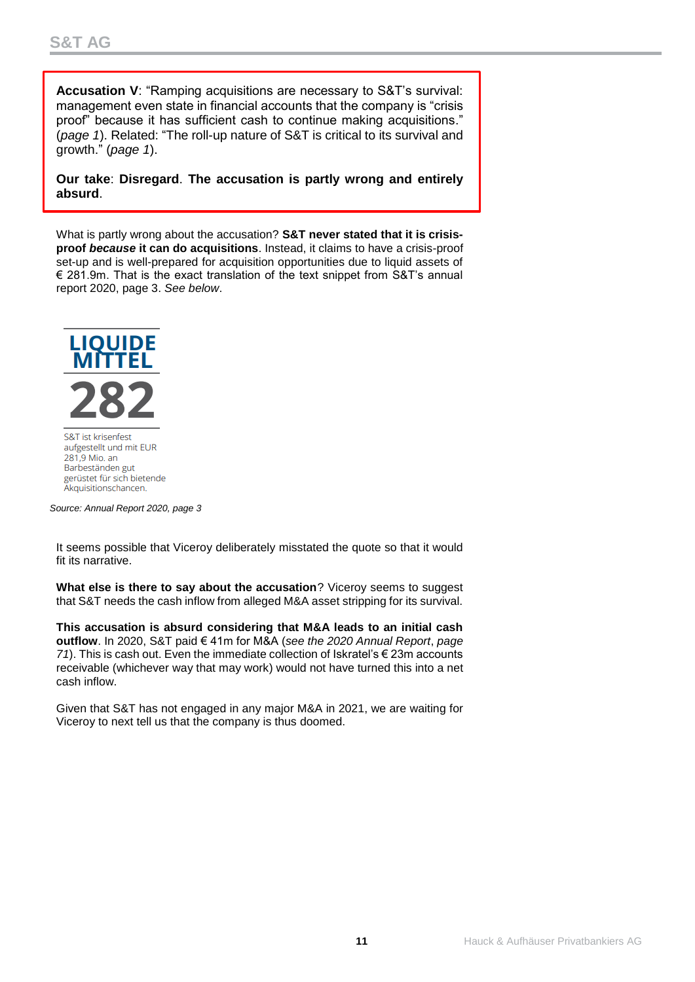**Accusation V**: "Ramping acquisitions are necessary to S&T's survival: management even state in financial accounts that the company is "crisis proof" because it has sufficient cash to continue making acquisitions." (*page 1*). Related: "The roll-up nature of S&T is critical to its survival and growth." (*page 1*).

**Our take**: **Disregard**. **The accusation is partly wrong and entirely absurd**.

What is partly wrong about the accusation? **S&T never stated that it is crisisproof** *because* **it can do acquisitions**. Instead, it claims to have a crisis-proof set-up and is well-prepared for acquisition opportunities due to liquid assets of € 281.9m. That is the exact translation of the text snippet from S&T's annual report 2020, page 3. *See below*.



S&T ist krisenfest aufgestellt und mit EUR 281,9 Mio. an Barbeständen gut gerüstet für sich bietende Akquisitionschancen.

*Source: Annual Report 2020, page 3*

It seems possible that Viceroy deliberately misstated the quote so that it would fit its narrative.

**What else is there to say about the accusation**? Viceroy seems to suggest that S&T needs the cash inflow from alleged M&A asset stripping for its survival.

**This accusation is absurd considering that M&A leads to an initial cash outflow**. In 2020, S&T paid € 41m for M&A (*see the 2020 Annual Report*, *page 71*). This is cash out. Even the immediate collection of Iskratel's € 23m accounts receivable (whichever way that may work) would not have turned this into a net cash inflow.

Given that S&T has not engaged in any major M&A in 2021, we are waiting for Viceroy to next tell us that the company is thus doomed.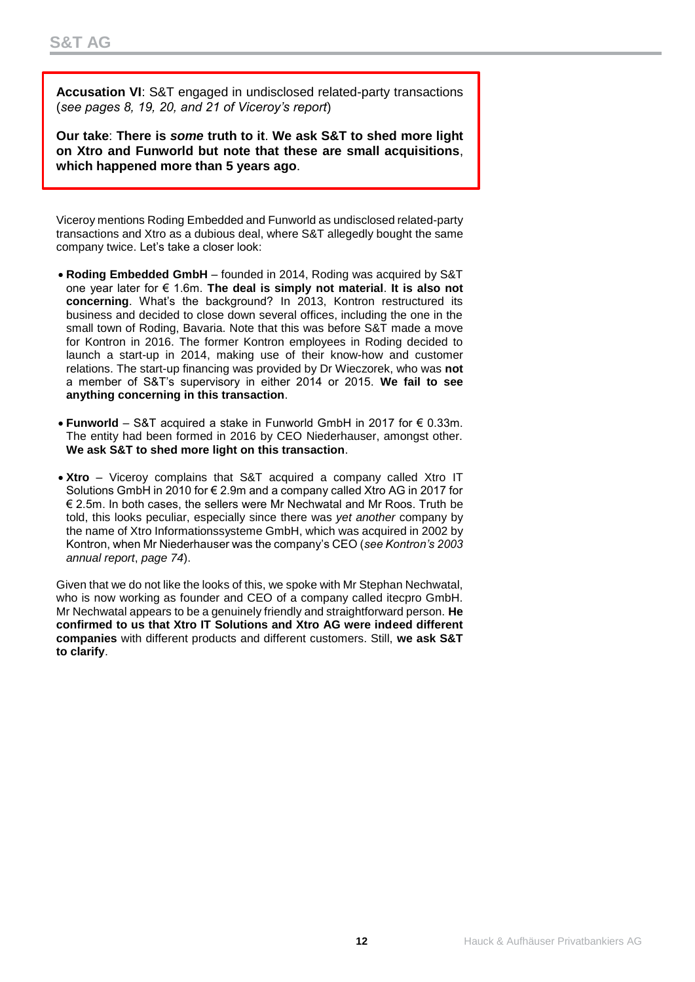**Accusation VI**: S&T engaged in undisclosed related-party transactions (*see pages 8, 19, 20, and 21 of Viceroy's report*)

**Our take**: **There is** *some* **truth to it**. **We ask S&T to shed more light on Xtro and Funworld but note that these are small acquisitions**, **which happened more than 5 years ago**.

Viceroy mentions Roding Embedded and Funworld as undisclosed related-party transactions and Xtro as a dubious deal, where S&T allegedly bought the same company twice. Let's take a closer look:

- **Roding Embedded GmbH** founded in 2014, Roding was acquired by S&T one year later for € 1.6m. **The deal is simply not material**. **It is also not concerning**. What's the background? In 2013, Kontron restructured its business and decided to close down several offices, including the one in the small town of Roding, Bavaria. Note that this was before S&T made a move for Kontron in 2016. The former Kontron employees in Roding decided to launch a start-up in 2014, making use of their know-how and customer relations. The start-up financing was provided by Dr Wieczorek, who was **not** a member of S&T's supervisory in either 2014 or 2015. **We fail to see anything concerning in this transaction**.
- **Funworld** S&T acquired a stake in Funworld GmbH in 2017 for € 0.33m. The entity had been formed in 2016 by CEO Niederhauser, amongst other. **We ask S&T to shed more light on this transaction**.
- **Xtro** Viceroy complains that S&T acquired a company called Xtro IT Solutions GmbH in 2010 for € 2.9m and a company called Xtro AG in 2017 for € 2.5m. In both cases, the sellers were Mr Nechwatal and Mr Roos. Truth be told, this looks peculiar, especially since there was *yet another* company by the name of Xtro Informationssysteme GmbH, which was acquired in 2002 by Kontron, when Mr Niederhauser was the company's CEO (*see Kontron's 2003 annual report*, *page 74*).

Given that we do not like the looks of this, we spoke with Mr Stephan Nechwatal, who is now working as founder and CEO of a company called itecpro GmbH. Mr Nechwatal appears to be a genuinely friendly and straightforward person. **He confirmed to us that Xtro IT Solutions and Xtro AG were indeed different companies** with different products and different customers. Still, **we ask S&T to clarify**.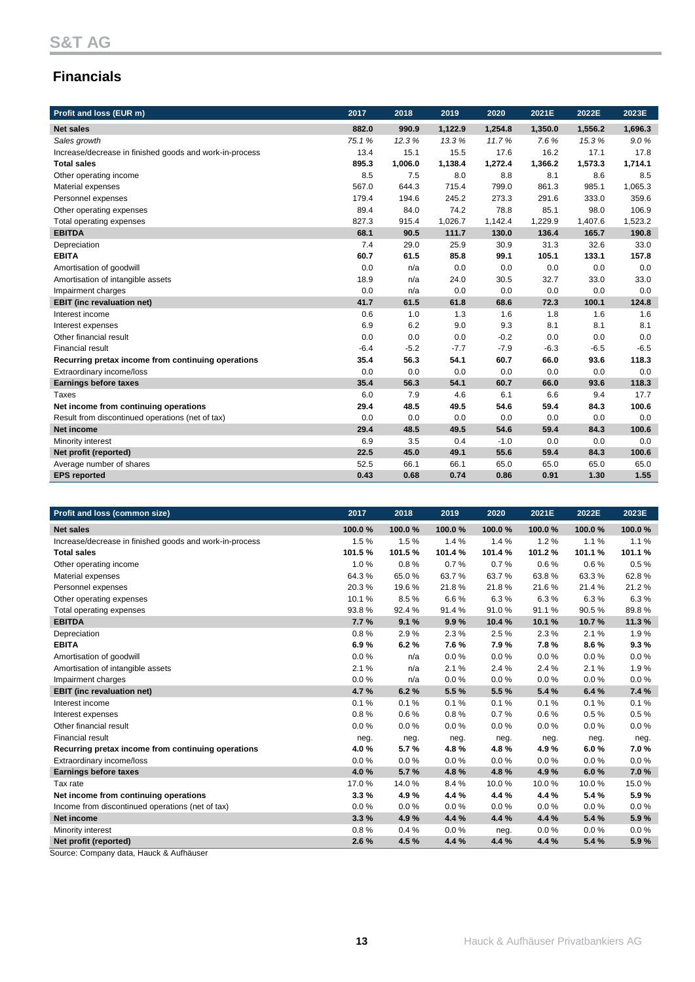# **Financials**

| Profit and loss (EUR m)                                 | 2017   | 2018    | 2019    | 2020    | 2021E   | 2022E   | 2023E   |
|---------------------------------------------------------|--------|---------|---------|---------|---------|---------|---------|
| <b>Net sales</b>                                        | 882.0  | 990.9   | 1,122.9 | 1,254.8 | 1,350.0 | 1,556.2 | 1,696.3 |
| Sales growth                                            | 75.1%  | 12.3%   | 13.3%   | 11.7%   | 7.6%    | 15.3%   | 9.0%    |
| Increase/decrease in finished goods and work-in-process | 13.4   | 15.1    | 15.5    | 17.6    | 16.2    | 17.1    | 17.8    |
| <b>Total sales</b>                                      | 895.3  | 1,006.0 | 1,138.4 | 1,272.4 | 1,366.2 | 1,573.3 | 1.714.1 |
| Other operating income                                  | 8.5    | 7.5     | 8.0     | 8.8     | 8.1     | 8.6     | 8.5     |
| Material expenses                                       | 567.0  | 644.3   | 715.4   | 799.0   | 861.3   | 985.1   | 1,065.3 |
| Personnel expenses                                      | 179.4  | 194.6   | 245.2   | 273.3   | 291.6   | 333.0   | 359.6   |
| Other operating expenses                                | 89.4   | 84.0    | 74.2    | 78.8    | 85.1    | 98.0    | 106.9   |
| Total operating expenses                                | 827.3  | 915.4   | 1,026.7 | 1,142.4 | 1,229.9 | 1,407.6 | 1,523.2 |
| <b>EBITDA</b>                                           | 68.1   | 90.5    | 111.7   | 130.0   | 136.4   | 165.7   | 190.8   |
| Depreciation                                            | 7.4    | 29.0    | 25.9    | 30.9    | 31.3    | 32.6    | 33.0    |
| <b>EBITA</b>                                            | 60.7   | 61.5    | 85.8    | 99.1    | 105.1   | 133.1   | 157.8   |
| Amortisation of goodwill                                | 0.0    | n/a     | 0.0     | 0.0     | 0.0     | 0.0     | 0.0     |
| Amortisation of intangible assets                       | 18.9   | n/a     | 24.0    | 30.5    | 32.7    | 33.0    | 33.0    |
| Impairment charges                                      | 0.0    | n/a     | 0.0     | 0.0     | 0.0     | 0.0     | 0.0     |
| <b>EBIT</b> (inc revaluation net)                       | 41.7   | 61.5    | 61.8    | 68.6    | 72.3    | 100.1   | 124.8   |
| Interest income                                         | 0.6    | 1.0     | 1.3     | 1.6     | 1.8     | 1.6     | 1.6     |
| Interest expenses                                       | 6.9    | 6.2     | 9.0     | 9.3     | 8.1     | 8.1     | 8.1     |
| Other financial result                                  | 0.0    | 0.0     | 0.0     | $-0.2$  | 0.0     | 0.0     | 0.0     |
| <b>Financial result</b>                                 | $-6.4$ | $-5.2$  | $-7.7$  | $-7.9$  | $-6.3$  | $-6.5$  | $-6.5$  |
| Recurring pretax income from continuing operations      | 35.4   | 56.3    | 54.1    | 60.7    | 66.0    | 93.6    | 118.3   |
| Extraordinary income/loss                               | 0.0    | 0.0     | 0.0     | 0.0     | 0.0     | 0.0     | 0.0     |
| <b>Earnings before taxes</b>                            | 35.4   | 56.3    | 54.1    | 60.7    | 66.0    | 93.6    | 118.3   |
| Taxes                                                   | 6.0    | 7.9     | 4.6     | 6.1     | 6.6     | 9.4     | 17.7    |
| Net income from continuing operations                   | 29.4   | 48.5    | 49.5    | 54.6    | 59.4    | 84.3    | 100.6   |
| Result from discontinued operations (net of tax)        | 0.0    | 0.0     | 0.0     | 0.0     | 0.0     | 0.0     | 0.0     |
| Net income                                              | 29.4   | 48.5    | 49.5    | 54.6    | 59.4    | 84.3    | 100.6   |
| Minority interest                                       | 6.9    | 3.5     | 0.4     | $-1.0$  | 0.0     | 0.0     | 0.0     |
| Net profit (reported)                                   | 22.5   | 45.0    | 49.1    | 55.6    | 59.4    | 84.3    | 100.6   |
| Average number of shares                                | 52.5   | 66.1    | 66.1    | 65.0    | 65.0    | 65.0    | 65.0    |
| <b>EPS</b> reported                                     | 0.43   | 0.68    | 0.74    | 0.86    | 0.91    | 1.30    | 1.55    |

| Profit and loss (common size)                           | 2017   | 2018   | 2019   | 2020   | 2021E  | 2022E  | 2023E  |
|---------------------------------------------------------|--------|--------|--------|--------|--------|--------|--------|
| <b>Net sales</b>                                        | 100.0% | 100.0% | 100.0% | 100.0% | 100.0% | 100.0% | 100.0% |
| Increase/decrease in finished goods and work-in-process | 1.5%   | 1.5%   | 1.4%   | 1.4%   | 1.2%   | 1.1%   | 1.1%   |
| <b>Total sales</b>                                      | 101.5% | 101.5% | 101.4% | 101.4% | 101.2% | 101.1% | 101.1% |
| Other operating income                                  | 1.0%   | 0.8%   | 0.7%   | 0.7%   | 0.6%   | 0.6%   | 0.5%   |
| Material expenses                                       | 64.3%  | 65.0%  | 63.7%  | 63.7%  | 63.8%  | 63.3%  | 62.8%  |
| Personnel expenses                                      | 20.3%  | 19.6%  | 21.8%  | 21.8%  | 21.6%  | 21.4%  | 21.2%  |
| Other operating expenses                                | 10.1%  | 8.5%   | 6.6%   | 6.3%   | 6.3%   | 6.3%   | 6.3%   |
| Total operating expenses                                | 93.8%  | 92.4 % | 91.4%  | 91.0%  | 91.1%  | 90.5%  | 89.8%  |
| <b>EBITDA</b>                                           | 7.7%   | 9.1%   | 9.9%   | 10.4%  | 10.1%  | 10.7%  | 11.3 % |
| Depreciation                                            | 0.8%   | 2.9%   | 2.3%   | 2.5%   | 2.3%   | 2.1%   | 1.9%   |
| <b>EBITA</b>                                            | 6.9%   | 6.2%   | 7.6%   | 7.9%   | 7.8%   | 8.6%   | 9.3%   |
| Amortisation of goodwill                                | 0.0%   | n/a    | 0.0%   | 0.0%   | 0.0%   | 0.0%   | 0.0%   |
| Amortisation of intangible assets                       | 2.1%   | n/a    | 2.1%   | 2.4 %  | 2.4 %  | 2.1%   | 1.9%   |
| Impairment charges                                      | 0.0%   | n/a    | 0.0%   | 0.0%   | 0.0%   | 0.0%   | 0.0%   |
| <b>EBIT</b> (inc revaluation net)                       | 4.7%   | 6.2%   | 5.5 %  | 5.5%   | 5.4%   | 6.4%   | 7.4 %  |
| Interest income                                         | 0.1%   | 0.1%   | 0.1%   | 0.1%   | 0.1%   | 0.1%   | 0.1%   |
| Interest expenses                                       | 0.8%   | 0.6%   | 0.8%   | 0.7%   | 0.6%   | 0.5%   | 0.5%   |
| Other financial result                                  | 0.0%   | 0.0%   | 0.0%   | 0.0%   | 0.0%   | 0.0%   | 0.0%   |
| <b>Financial result</b>                                 | neg.   | neg.   | neg.   | neg.   | neg.   | neg.   | neg.   |
| Recurring pretax income from continuing operations      | 4.0%   | 5.7%   | 4.8%   | 4.8%   | 4.9%   | 6.0%   | 7.0%   |
| Extraordinary income/loss                               | 0.0%   | 0.0%   | 0.0%   | 0.0%   | 0.0%   | 0.0%   | 0.0%   |
| <b>Earnings before taxes</b>                            | 4.0%   | 5.7%   | 4.8%   | 4.8%   | 4.9%   | 6.0%   | 7.0%   |
| Tax rate                                                | 17.0%  | 14.0%  | 8.4%   | 10.0%  | 10.0%  | 10.0%  | 15.0%  |
| Net income from continuing operations                   | 3.3%   | 4.9%   | 4.4 %  | 4.4 %  | 4.4 %  | 5.4%   | 5.9%   |
| Income from discontinued operations (net of tax)        | 0.0%   | 0.0%   | 0.0%   | 0.0%   | 0.0%   | 0.0%   | 0.0%   |
| Net income                                              | 3.3%   | 4.9%   | 4.4 %  | 4.4 %  | 4.4 %  | 5.4 %  | 5.9%   |
| Minority interest                                       | 0.8%   | 0.4%   | 0.0%   | neg.   | 0.0%   | 0.0%   | 0.0%   |
| Net profit (reported)                                   | 2.6%   | 4.5 %  | 4.4 %  | 4.4 %  | 4.4 %  | 5.4%   | 5.9%   |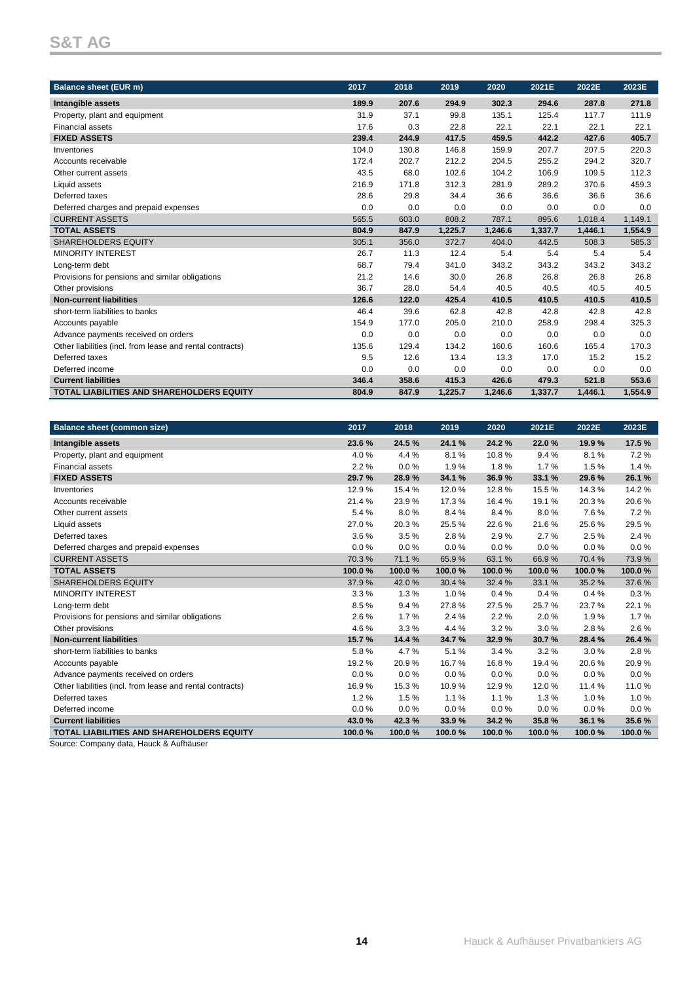| Balance sheet (EUR m)                                     | 2017  | 2018  | 2019    | 2020    | 2021E   | 2022E   | 2023E   |
|-----------------------------------------------------------|-------|-------|---------|---------|---------|---------|---------|
| Intangible assets                                         | 189.9 | 207.6 | 294.9   | 302.3   | 294.6   | 287.8   | 271.8   |
| Property, plant and equipment                             | 31.9  | 37.1  | 99.8    | 135.1   | 125.4   | 117.7   | 111.9   |
| Financial assets                                          | 17.6  | 0.3   | 22.8    | 22.1    | 22.1    | 22.1    | 22.1    |
| <b>FIXED ASSETS</b>                                       | 239.4 | 244.9 | 417.5   | 459.5   | 442.2   | 427.6   | 405.7   |
| Inventories                                               | 104.0 | 130.8 | 146.8   | 159.9   | 207.7   | 207.5   | 220.3   |
| Accounts receivable                                       | 172.4 | 202.7 | 212.2   | 204.5   | 255.2   | 294.2   | 320.7   |
| Other current assets                                      | 43.5  | 68.0  | 102.6   | 104.2   | 106.9   | 109.5   | 112.3   |
| Liquid assets                                             | 216.9 | 171.8 | 312.3   | 281.9   | 289.2   | 370.6   | 459.3   |
| Deferred taxes                                            | 28.6  | 29.8  | 34.4    | 36.6    | 36.6    | 36.6    | 36.6    |
| Deferred charges and prepaid expenses                     | 0.0   | 0.0   | 0.0     | 0.0     | 0.0     | 0.0     | 0.0     |
| <b>CURRENT ASSETS</b>                                     | 565.5 | 603.0 | 808.2   | 787.1   | 895.6   | 1,018.4 | 1,149.1 |
| <b>TOTAL ASSETS</b>                                       | 804.9 | 847.9 | 1.225.7 | 1,246.6 | 1,337.7 | 1,446.1 | 1,554.9 |
| <b>SHAREHOLDERS EQUITY</b>                                | 305.1 | 356.0 | 372.7   | 404.0   | 442.5   | 508.3   | 585.3   |
| <b>MINORITY INTEREST</b>                                  | 26.7  | 11.3  | 12.4    | 5.4     | 5.4     | 5.4     | 5.4     |
| Long-term debt                                            | 68.7  | 79.4  | 341.0   | 343.2   | 343.2   | 343.2   | 343.2   |
| Provisions for pensions and similar obligations           | 21.2  | 14.6  | 30.0    | 26.8    | 26.8    | 26.8    | 26.8    |
| Other provisions                                          | 36.7  | 28.0  | 54.4    | 40.5    | 40.5    | 40.5    | 40.5    |
| <b>Non-current liabilities</b>                            | 126.6 | 122.0 | 425.4   | 410.5   | 410.5   | 410.5   | 410.5   |
| short-term liabilities to banks                           | 46.4  | 39.6  | 62.8    | 42.8    | 42.8    | 42.8    | 42.8    |
| Accounts payable                                          | 154.9 | 177.0 | 205.0   | 210.0   | 258.9   | 298.4   | 325.3   |
| Advance payments received on orders                       | 0.0   | 0.0   | 0.0     | 0.0     | 0.0     | 0.0     | 0.0     |
| Other liabilities (incl. from lease and rental contracts) | 135.6 | 129.4 | 134.2   | 160.6   | 160.6   | 165.4   | 170.3   |
| Deferred taxes                                            | 9.5   | 12.6  | 13.4    | 13.3    | 17.0    | 15.2    | 15.2    |
| Deferred income                                           | 0.0   | 0.0   | 0.0     | 0.0     | 0.0     | 0.0     | 0.0     |
| <b>Current liabilities</b>                                | 346.4 | 358.6 | 415.3   | 426.6   | 479.3   | 521.8   | 553.6   |
| <b>TOTAL LIABILITIES AND SHAREHOLDERS EQUITY</b>          | 804.9 | 847.9 | 1,225.7 | 1,246.6 | 1,337.7 | 1,446.1 | 1,554.9 |

| <b>Balance sheet (common size)</b>                        | 2017   | 2018    | 2019   | 2020   | 2021E  | 2022E  | 2023E  |
|-----------------------------------------------------------|--------|---------|--------|--------|--------|--------|--------|
| Intangible assets                                         | 23.6%  | 24.5%   | 24.1 % | 24.2%  | 22.0%  | 19.9%  | 17.5 % |
| Property, plant and equipment                             | 4.0%   | 4.4 %   | 8.1%   | 10.8%  | 9.4%   | 8.1%   | 7.2%   |
| <b>Financial assets</b>                                   | 2.2%   | $0.0\%$ | 1.9%   | 1.8%   | 1.7%   | 1.5%   | 1.4%   |
| <b>FIXED ASSETS</b>                                       | 29.7%  | 28.9%   | 34.1 % | 36.9%  | 33.1 % | 29.6%  | 26.1 % |
| Inventories                                               | 12.9%  | 15.4%   | 12.0%  | 12.8%  | 15.5%  | 14.3%  | 14.2%  |
| Accounts receivable                                       | 21.4%  | 23.9%   | 17.3%  | 16.4%  | 19.1%  | 20.3%  | 20.6%  |
| Other current assets                                      | 5.4%   | 8.0%    | 8.4%   | 8.4%   | 8.0%   | 7.6%   | 7.2%   |
| Liquid assets                                             | 27.0%  | 20.3%   | 25.5%  | 22.6%  | 21.6%  | 25.6%  | 29.5%  |
| Deferred taxes                                            | 3.6%   | 3.5%    | 2.8%   | 2.9%   | 2.7%   | 2.5%   | 2.4%   |
| Deferred charges and prepaid expenses                     | 0.0%   | $0.0\%$ | 0.0%   | 0.0%   | 0.0%   | 0.0%   | 0.0%   |
| <b>CURRENT ASSETS</b>                                     | 70.3%  | 71.1%   | 65.9%  | 63.1%  | 66.9%  | 70.4%  | 73.9%  |
| <b>TOTAL ASSETS</b>                                       | 100.0% | 100.0%  | 100.0% | 100.0% | 100.0% | 100.0% | 100.0% |
| <b>SHAREHOLDERS EQUITY</b>                                | 37.9%  | 42.0%   | 30.4%  | 32.4 % | 33.1%  | 35.2%  | 37.6%  |
| <b>MINORITY INTEREST</b>                                  | 3.3%   | 1.3%    | 1.0%   | 0.4%   | 0.4%   | 0.4%   | 0.3%   |
| Long-term debt                                            | 8.5%   | 9.4%    | 27.8%  | 27.5%  | 25.7%  | 23.7%  | 22.1%  |
| Provisions for pensions and similar obligations           | 2.6%   | 1.7%    | 2.4 %  | 2.2%   | 2.0%   | 1.9%   | 1.7%   |
| Other provisions                                          | 4.6%   | 3.3%    | 4.4 %  | 3.2%   | 3.0%   | 2.8%   | 2.6%   |
| <b>Non-current liabilities</b>                            | 15.7%  | 14.4 %  | 34.7%  | 32.9%  | 30.7%  | 28.4%  | 26.4 % |
| short-term liabilities to banks                           | 5.8%   | 4.7%    | 5.1%   | 3.4%   | 3.2%   | 3.0%   | 2.8%   |
| Accounts payable                                          | 19.2%  | 20.9%   | 16.7%  | 16.8%  | 19.4 % | 20.6%  | 20.9%  |
| Advance payments received on orders                       | 0.0%   | $0.0\%$ | 0.0%   | 0.0%   | 0.0%   | 0.0%   | 0.0%   |
| Other liabilities (incl. from lease and rental contracts) | 16.9%  | 15.3%   | 10.9%  | 12.9%  | 12.0%  | 11.4 % | 11.0%  |
| Deferred taxes                                            | 1.2%   | 1.5%    | 1.1%   | 1.1%   | 1.3%   | 1.0%   | 1.0%   |
| Deferred income                                           | 0.0%   | 0.0%    | 0.0%   | 0.0%   | 0.0%   | 0.0%   | 0.0%   |
| <b>Current liabilities</b>                                | 43.0%  | 42.3%   | 33.9%  | 34.2%  | 35.8%  | 36.1 % | 35.6%  |
| <b>TOTAL LIABILITIES AND SHAREHOLDERS EQUITY</b>          | 100.0% | 100.0%  | 100.0% | 100.0% | 100.0% | 100.0% | 100.0% |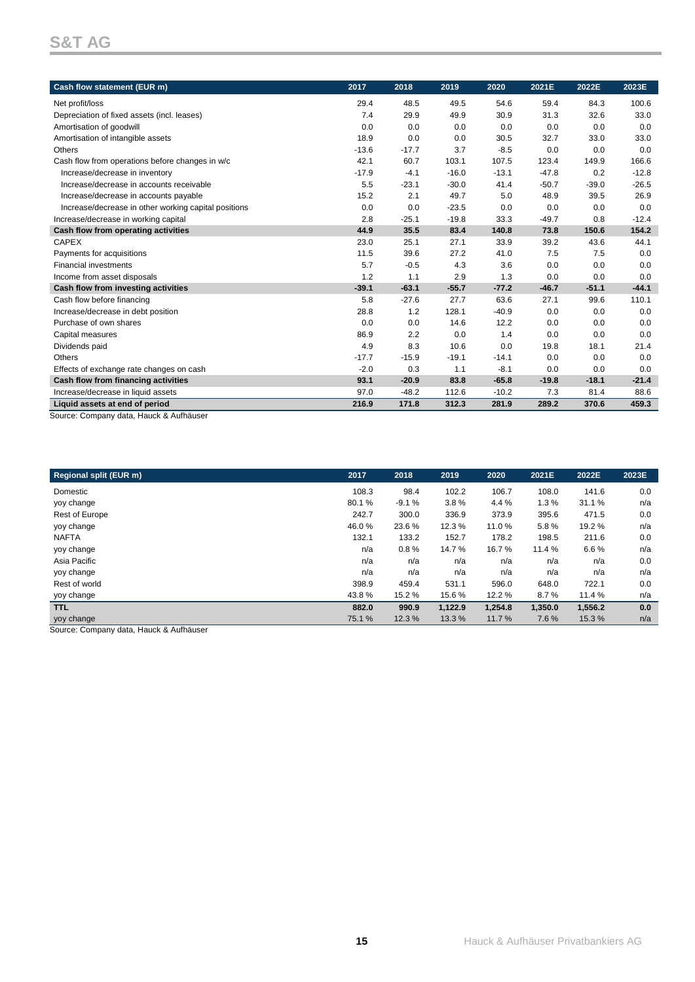| Cash flow statement (EUR m)                                              | 2017    | 2018    | 2019    | 2020    | 2021E   | 2022E   | 2023E   |
|--------------------------------------------------------------------------|---------|---------|---------|---------|---------|---------|---------|
| Net profit/loss                                                          | 29.4    | 48.5    | 49.5    | 54.6    | 59.4    | 84.3    | 100.6   |
| Depreciation of fixed assets (incl. leases)                              | 7.4     | 29.9    | 49.9    | 30.9    | 31.3    | 32.6    | 33.0    |
| Amortisation of goodwill                                                 | 0.0     | 0.0     | 0.0     | 0.0     | 0.0     | 0.0     | 0.0     |
| Amortisation of intangible assets                                        | 18.9    | 0.0     | 0.0     | 30.5    | 32.7    | 33.0    | 33.0    |
| Others                                                                   | $-13.6$ | $-17.7$ | 3.7     | $-8.5$  | 0.0     | 0.0     | 0.0     |
| Cash flow from operations before changes in w/c                          | 42.1    | 60.7    | 103.1   | 107.5   | 123.4   | 149.9   | 166.6   |
| Increase/decrease in inventory                                           | $-17.9$ | $-4.1$  | $-16.0$ | $-13.1$ | $-47.8$ | 0.2     | $-12.8$ |
| Increase/decrease in accounts receivable                                 | 5.5     | $-23.1$ | $-30.0$ | 41.4    | $-50.7$ | $-39.0$ | $-26.5$ |
| Increase/decrease in accounts payable                                    | 15.2    | 2.1     | 49.7    | 5.0     | 48.9    | 39.5    | 26.9    |
| Increase/decrease in other working capital positions                     | 0.0     | 0.0     | $-23.5$ | 0.0     | 0.0     | 0.0     | 0.0     |
| Increase/decrease in working capital                                     | 2.8     | $-25.1$ | $-19.8$ | 33.3    | $-49.7$ | 0.8     | $-12.4$ |
| Cash flow from operating activities                                      | 44.9    | 35.5    | 83.4    | 140.8   | 73.8    | 150.6   | 154.2   |
| <b>CAPEX</b>                                                             | 23.0    | 25.1    | 27.1    | 33.9    | 39.2    | 43.6    | 44.1    |
| Payments for acquisitions                                                | 11.5    | 39.6    | 27.2    | 41.0    | 7.5     | 7.5     | 0.0     |
| <b>Financial investments</b>                                             | 5.7     | $-0.5$  | 4.3     | 3.6     | 0.0     | 0.0     | 0.0     |
| Income from asset disposals                                              | 1.2     | 1.1     | 2.9     | 1.3     | 0.0     | 0.0     | 0.0     |
| Cash flow from investing activities                                      | $-39.1$ | $-63.1$ | $-55.7$ | $-77.2$ | $-46.7$ | $-51.1$ | $-44.1$ |
| Cash flow before financing                                               | 5.8     | $-27.6$ | 27.7    | 63.6    | 27.1    | 99.6    | 110.1   |
| Increase/decrease in debt position                                       | 28.8    | 1.2     | 128.1   | $-40.9$ | 0.0     | 0.0     | 0.0     |
| Purchase of own shares                                                   | 0.0     | 0.0     | 14.6    | 12.2    | 0.0     | 0.0     | 0.0     |
| Capital measures                                                         | 86.9    | 2.2     | 0.0     | 1.4     | 0.0     | 0.0     | 0.0     |
| Dividends paid                                                           | 4.9     | 8.3     | 10.6    | 0.0     | 19.8    | 18.1    | 21.4    |
| Others                                                                   | $-17.7$ | $-15.9$ | $-19.1$ | $-14.1$ | 0.0     | 0.0     | 0.0     |
| Effects of exchange rate changes on cash                                 | $-2.0$  | 0.3     | 1.1     | $-8.1$  | 0.0     | 0.0     | 0.0     |
| Cash flow from financing activities                                      | 93.1    | $-20.9$ | 83.8    | $-65.8$ | $-19.8$ | $-18.1$ | $-21.4$ |
| Increase/decrease in liquid assets                                       | 97.0    | $-48.2$ | 112.6   | $-10.2$ | 7.3     | 81.4    | 88.6    |
| Liquid assets at end of period<br>Source: Company data Hauck & Aufhäuser | 216.9   | 171.8   | 312.3   | 281.9   | 289.2   | 370.6   | 459.3   |

Source: Company data, Hauck & Aufhäuser

| <b>Regional split (EUR m)</b>           | 2017  | 2018    | 2019    | 2020    | 2021E   | 2022E   | 2023E |
|-----------------------------------------|-------|---------|---------|---------|---------|---------|-------|
|                                         |       |         |         |         |         |         |       |
| Domestic                                | 108.3 | 98.4    | 102.2   | 106.7   | 108.0   | 141.6   | 0.0   |
| yoy change                              | 80.1% | $-9.1%$ | 3.8%    | 4.4 %   | 1.3%    | 31.1 %  | n/a   |
| <b>Rest of Europe</b>                   | 242.7 | 300.0   | 336.9   | 373.9   | 395.6   | 471.5   | 0.0   |
| yoy change                              | 46.0% | 23.6 %  | 12.3%   | 11.0%   | 5.8%    | 19.2 %  | n/a   |
| <b>NAFTA</b>                            | 132.1 | 133.2   | 152.7   | 178.2   | 198.5   | 211.6   | 0.0   |
| yoy change                              | n/a   | 0.8%    | 14.7%   | 16.7%   | 11.4 %  | 6.6%    | n/a   |
| Asia Pacific                            | n/a   | n/a     | n/a     | n/a     | n/a     | n/a     | 0.0   |
| yoy change                              | n/a   | n/a     | n/a     | n/a     | n/a     | n/a     | n/a   |
| Rest of world                           | 398.9 | 459.4   | 531.1   | 596.0   | 648.0   | 722.1   | 0.0   |
| yoy change                              | 43.8% | 15.2%   | 15.6%   | 12.2%   | 8.7%    | 11.4 %  | n/a   |
| <b>TTL</b>                              | 882.0 | 990.9   | 1,122.9 | 1,254.8 | 1,350.0 | 1,556.2 | 0.0   |
| yoy change                              | 75.1% | 12.3 %  | 13.3 %  | 11.7%   | 7.6%    | 15.3%   | n/a   |
| Course: Company data Hough & Authöriser |       |         |         |         |         |         |       |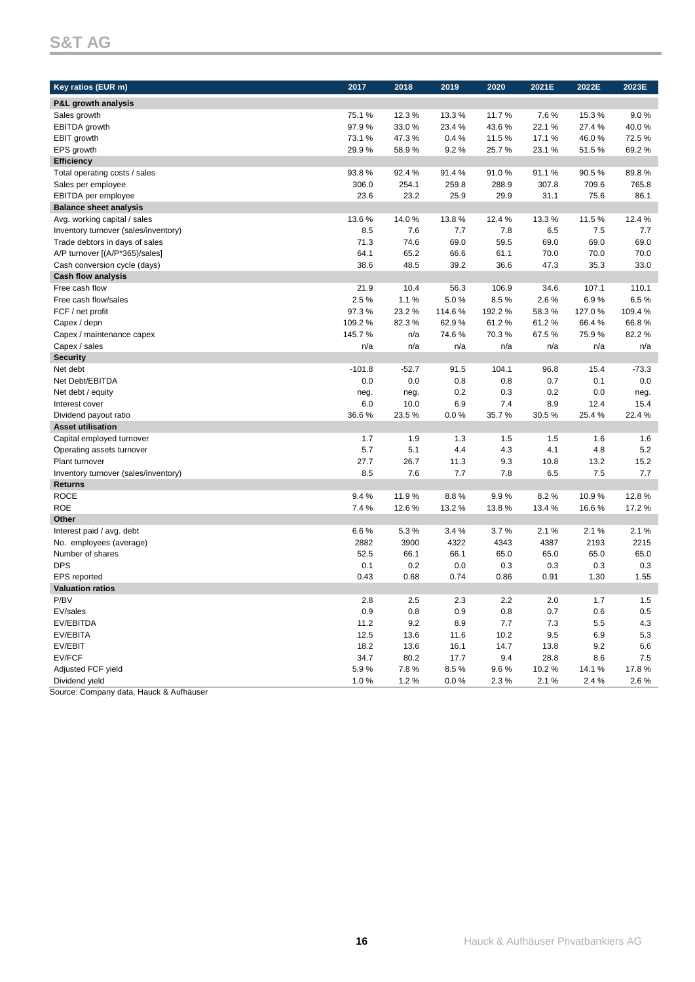| Key ratios (EUR m)                   | 2017     | 2018    | 2019   | 2020   | 2021E   | 2022E  | 2023E   |
|--------------------------------------|----------|---------|--------|--------|---------|--------|---------|
| P&L growth analysis                  |          |         |        |        |         |        |         |
| Sales growth                         | 75.1%    | 12.3%   | 13.3%  | 11.7%  | 7.6%    | 15.3%  | 9.0%    |
| <b>EBITDA</b> growth                 | 97.9%    | 33.0%   | 23.4 % | 43.6%  | 22.1%   | 27.4 % | 40.0%   |
| EBIT growth                          | 73.1%    | 47.3%   | 0.4%   | 11.5%  | 17.1%   | 46.0%  | 72.5%   |
| EPS growth                           | 29.9%    | 58.9%   | 9.2%   | 25.7%  | 23.1%   | 51.5%  | 69.2%   |
| <b>Efficiency</b>                    |          |         |        |        |         |        |         |
| Total operating costs / sales        | 93.8%    | 92.4%   | 91.4%  | 91.0%  | 91.1%   | 90.5%  | 89.8%   |
| Sales per employee                   | 306.0    | 254.1   | 259.8  | 288.9  | 307.8   | 709.6  | 765.8   |
| EBITDA per employee                  | 23.6     | 23.2    | 25.9   | 29.9   | 31.1    | 75.6   | 86.1    |
| <b>Balance sheet analysis</b>        |          |         |        |        |         |        |         |
| Avg. working capital / sales         | 13.6%    | 14.0%   | 13.8%  | 12.4 % | 13.3%   | 11.5%  | 12.4 %  |
| Inventory turnover (sales/inventory) | 8.5      | 7.6     | 7.7    | 7.8    | 6.5     | 7.5    | 7.7     |
| Trade debtors in days of sales       | 71.3     | 74.6    | 69.0   | 59.5   | 69.0    | 69.0   | 69.0    |
| A/P turnover [(A/P*365)/sales]       | 64.1     | 65.2    | 66.6   | 61.1   | 70.0    | 70.0   | 70.0    |
| Cash conversion cycle (days)         | 38.6     | 48.5    | 39.2   | 36.6   | 47.3    | 35.3   | 33.0    |
| <b>Cash flow analysis</b>            |          |         |        |        |         |        |         |
| Free cash flow                       | 21.9     | 10.4    | 56.3   | 106.9  | 34.6    | 107.1  | 110.1   |
| Free cash flow/sales                 | 2.5%     | 1.1%    | 5.0%   | 8.5%   | 2.6%    | 6.9%   | 6.5%    |
| FCF / net profit                     | 97.3%    | 23.2%   | 114.6% | 192.2% | 58.3%   | 127.0% | 109.4%  |
| Capex / depn                         | 109.2%   | 82.3%   | 62.9%  | 61.2%  | 61.2%   | 66.4%  | 66.8%   |
| Capex / maintenance capex            | 145.7%   | n/a     | 74.6%  | 70.3%  | 67.5%   | 75.9%  | 82.2%   |
| Capex / sales                        | n/a      | n/a     | n/a    | n/a    | n/a     | n/a    | n/a     |
| <b>Security</b>                      |          |         |        |        |         |        |         |
| Net debt                             | $-101.8$ | $-52.7$ | 91.5   | 104.1  | 96.8    | 15.4   | $-73.3$ |
| Net Debt/EBITDA                      | 0.0      | 0.0     | 0.8    | 0.8    | 0.7     | 0.1    | 0.0     |
| Net debt / equity                    | neg.     | neg.    | 0.2    | 0.3    | 0.2     | 0.0    | neg.    |
| Interest cover                       | 6.0      | 10.0    | 6.9    | 7.4    | 8.9     | 12.4   | 15.4    |
| Dividend payout ratio                | 36.6%    | 23.5%   | 0.0%   | 35.7%  | 30.5%   | 25.4%  | 22.4%   |
| <b>Asset utilisation</b>             |          |         |        |        |         |        |         |
| Capital employed turnover            | 1.7      | 1.9     | 1.3    | 1.5    | 1.5     | 1.6    | 1.6     |
| Operating assets turnover            | 5.7      | 5.1     | 4.4    | 4.3    | 4.1     | 4.8    | 5.2     |
| Plant turnover                       | 27.7     | 26.7    | 11.3   | 9.3    | 10.8    | 13.2   | 15.2    |
| Inventory turnover (sales/inventory) | 8.5      | 7.6     | 7.7    | 7.8    | 6.5     | 7.5    | 7.7     |
| <b>Returns</b>                       |          |         |        |        |         |        |         |
| <b>ROCE</b>                          | 9.4%     | 11.9%   | 8.8%   | 9.9%   | 8.2%    | 10.9%  | 12.8%   |
| <b>ROE</b>                           | 7.4%     | 12.6%   | 13.2 % | 13.8%  | 13.4 %  | 16.6%  | 17.2%   |
| Other                                |          |         |        |        |         |        |         |
| Interest paid / avg. debt            | 6.6%     | 5.3%    | 3.4%   | 3.7%   | 2.1%    | 2.1%   | 2.1%    |
| No. employees (average)              | 2882     | 3900    | 4322   | 4343   | 4387    | 2193   | 2215    |
| Number of shares                     | 52.5     | 66.1    | 66.1   | 65.0   | 65.0    | 65.0   | 65.0    |
| <b>DPS</b>                           | 0.1      | 0.2     | 0.0    | 0.3    | 0.3     | 0.3    | 0.3     |
| EPS reported                         | 0.43     | 0.68    | 0.74   | 0.86   | 0.91    | 1.30   | 1.55    |
| <b>Valuation ratios</b>              |          |         |        |        |         |        |         |
| P/BV                                 | $2.8\,$  | 2.5     | 2.3    | 2.2    | $2.0\,$ | 1.7    | 1.5     |
| EV/sales                             | 0.9      | 0.8     | 0.9    | 0.8    | 0.7     | 0.6    | 0.5     |
| EV/EBITDA                            | 11.2     | 9.2     | 8.9    | 7.7    | 7.3     | 5.5    | 4.3     |
| EV/EBITA                             | 12.5     | 13.6    | 11.6   | 10.2   | 9.5     | 6.9    | 5.3     |
| EV/EBIT                              | 18.2     | 13.6    | 16.1   | 14.7   | 13.8    | 9.2    | 6.6     |
| EV/FCF                               | 34.7     | 80.2    | 17.7   | 9.4    | 28.8    | 8.6    | 7.5     |
| Adjusted FCF yield                   | 5.9%     | 7.8%    | 8.5%   | 9.6%   | 10.2%   | 14.1%  | 17.8%   |
| Dividend yield                       | 1.0%     | 1.2%    | 0.0 %  | 2.3%   | 2.1%    | 2.4 %  | 2.6%    |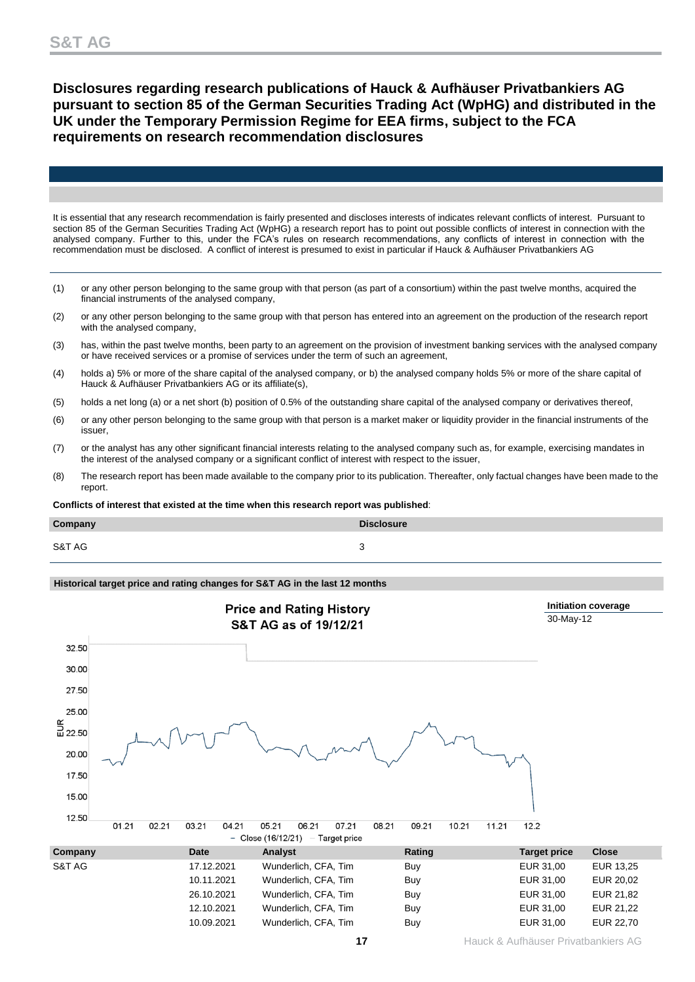# **Disclosures regarding research publications of Hauck & Aufhäuser Privatbankiers AG pursuant to section 85 of the German Securities Trading Act (WpHG) and distributed in the UK under the Temporary Permission Regime for EEA firms, subject to the FCA requirements on research recommendation disclosures**

It is essential that any research recommendation is fairly presented and discloses interests of indicates relevant conflicts of interest. Pursuant to section 85 of the German Securities Trading Act (WpHG) a research report has to point out possible conflicts of interest in connection with the analysed company. Further to this, under the FCA's rules on research recommendations, any conflicts of interest in connection with the recommendation must be disclosed. A conflict of interest is presumed to exist in particular if Hauck & Aufhäuser Privatbankiers AG

- (1) or any other person belonging to the same group with that person (as part of a consortium) within the past twelve months, acquired the financial instruments of the analysed company,
- (2) or any other person belonging to the same group with that person has entered into an agreement on the production of the research report with the analysed company,
- (3) has, within the past twelve months, been party to an agreement on the provision of investment banking services with the analysed company or have received services or a promise of services under the term of such an agreement,
- (4) holds a) 5% or more of the share capital of the analysed company, or b) the analysed company holds 5% or more of the share capital of Hauck & Aufhäuser Privatbankiers AG or its affiliate(s),
- (5) holds a net long (a) or a net short (b) position of 0.5% of the outstanding share capital of the analysed company or derivatives thereof,
- (6) or any other person belonging to the same group with that person is a market maker or liquidity provider in the financial instruments of the issuer,
- (7) or the analyst has any other significant financial interests relating to the analysed company such as, for example, exercising mandates in the interest of the analysed company or a significant conflict of interest with respect to the issuer,
- (8) The research report has been made available to the company prior to its publication. Thereafter, only factual changes have been made to the report.

**Conflicts of interest that existed at the time when this research report was published**:

| Company | <b>Disclosure</b> |
|---------|-------------------|
| S&T AG  |                   |

### **Historical target price and rating changes for S&T AG in the last 12 months**

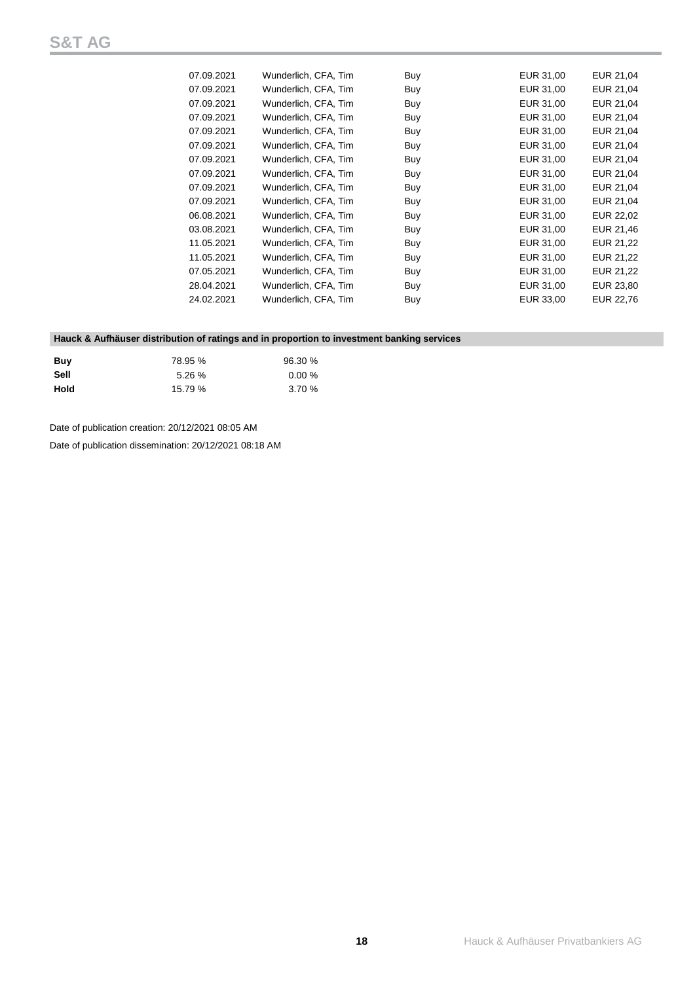| 07.09.2021 | Wunderlich, CFA, Tim | Buy | EUR 31,00 | EUR 21,04 |
|------------|----------------------|-----|-----------|-----------|
| 07.09.2021 | Wunderlich, CFA, Tim | Buy | EUR 31,00 | EUR 21,04 |
| 07.09.2021 | Wunderlich, CFA, Tim | Buy | EUR 31,00 | EUR 21,04 |
| 07.09.2021 | Wunderlich, CFA, Tim | Buy | EUR 31,00 | EUR 21,04 |
| 07.09.2021 | Wunderlich, CFA, Tim | Buy | EUR 31,00 | EUR 21,04 |
| 07.09.2021 | Wunderlich, CFA, Tim | Buy | EUR 31,00 | EUR 21,04 |
| 07.09.2021 | Wunderlich, CFA, Tim | Buy | EUR 31,00 | EUR 21,04 |
| 07.09.2021 | Wunderlich, CFA, Tim | Buy | EUR 31,00 | EUR 21,04 |
| 07.09.2021 | Wunderlich, CFA, Tim | Buy | EUR 31,00 | EUR 21,04 |
| 07.09.2021 | Wunderlich, CFA, Tim | Buy | EUR 31,00 | EUR 21,04 |
| 06.08.2021 | Wunderlich, CFA, Tim | Buy | EUR 31,00 | EUR 22,02 |
| 03.08.2021 | Wunderlich, CFA, Tim | Buy | EUR 31,00 | EUR 21,46 |
| 11.05.2021 | Wunderlich, CFA, Tim | Buy | EUR 31,00 | EUR 21,22 |
| 11.05.2021 | Wunderlich, CFA, Tim | Buy | EUR 31,00 | EUR 21,22 |
| 07.05.2021 | Wunderlich, CFA, Tim | Buy | EUR 31,00 | EUR 21,22 |
| 28.04.2021 | Wunderlich, CFA, Tim | Buy | EUR 31,00 | EUR 23,80 |
| 24.02.2021 | Wunderlich, CFA, Tim | Buy | EUR 33,00 | EUR 22,76 |
|            |                      |     |           |           |

### **Hauck & Aufhäuser distribution of ratings and in proportion to investment banking services**

| Buv  | 78.95 % | 96.30 %   |
|------|---------|-----------|
| Sell | 5.26 %  | $0.00 \%$ |
| Hold | 15.79%  | 3.70%     |

Date of publication creation: 20/12/2021 08:05 AM

Date of publication dissemination: 20/12/2021 08:18 AM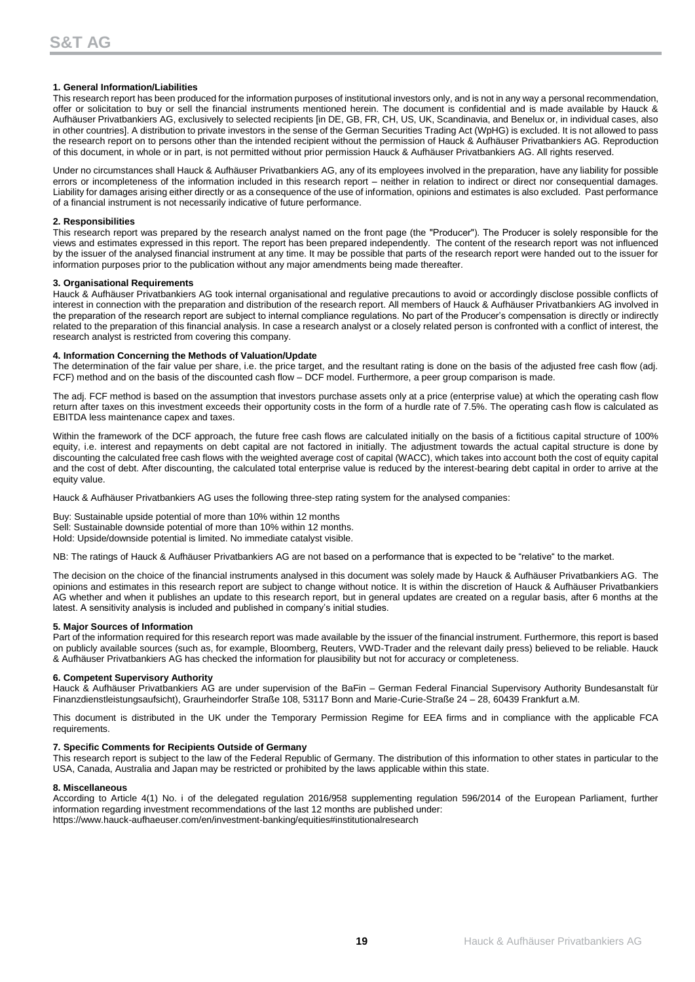### **1. General Information/Liabilities**

This research report has been produced for the information purposes of institutional investors only, and is not in any way a personal recommendation, offer or solicitation to buy or sell the financial instruments mentioned herein. The document is confidential and is made available by Hauck & Aufhäuser Privatbankiers AG, exclusively to selected recipients [in DE, GB, FR, CH, US, UK, Scandinavia, and Benelux or, in individual cases, also in other countries]. A distribution to private investors in the sense of the German Securities Trading Act (WpHG) is excluded. It is not allowed to pass the research report on to persons other than the intended recipient without the permission of Hauck & Aufhäuser Privatbankiers AG. Reproduction of this document, in whole or in part, is not permitted without prior permission Hauck & Aufhäuser Privatbankiers AG. All rights reserved.

Under no circumstances shall Hauck & Aufhäuser Privatbankiers AG, any of its employees involved in the preparation, have any liability for possible errors or incompleteness of the information included in this research report – neither in relation to indirect or direct nor consequential damages. Liability for damages arising either directly or as a consequence of the use of information, opinions and estimates is also excluded. Past performance of a financial instrument is not necessarily indicative of future performance.

### **2. Responsibilities**

This research report was prepared by the research analyst named on the front page (the "Producer"). The Producer is solely responsible for the views and estimates expressed in this report. The report has been prepared independently. The content of the research report was not influenced by the issuer of the analysed financial instrument at any time. It may be possible that parts of the research report were handed out to the issuer for information purposes prior to the publication without any major amendments being made thereafter.

### **3. Organisational Requirements**

Hauck & Aufhäuser Privatbankiers AG took internal organisational and regulative precautions to avoid or accordingly disclose possible conflicts of interest in connection with the preparation and distribution of the research report. All members of Hauck & Aufhäuser Privatbankiers AG involved in the preparation of the research report are subject to internal compliance regulations. No part of the Producer's compensation is directly or indirectly related to the preparation of this financial analysis. In case a research analyst or a closely related person is confronted with a conflict of interest, the research analyst is restricted from covering this company.

### **4. Information Concerning the Methods of Valuation/Update**

The determination of the fair value per share, i.e. the price target, and the resultant rating is done on the basis of the adjusted free cash flow (adj. FCF) method and on the basis of the discounted cash flow – DCF model. Furthermore, a peer group comparison is made.

The adj. FCF method is based on the assumption that investors purchase assets only at a price (enterprise value) at which the operating cash flow return after taxes on this investment exceeds their opportunity costs in the form of a hurdle rate of 7.5%. The operating cash flow is calculated as EBITDA less maintenance capex and taxes.

Within the framework of the DCF approach, the future free cash flows are calculated initially on the basis of a fictitious capital structure of 100% equity, i.e. interest and repayments on debt capital are not factored in initially. The adjustment towards the actual capital structure is done by discounting the calculated free cash flows with the weighted average cost of capital (WACC), which takes into account both the cost of equity capital and the cost of debt. After discounting, the calculated total enterprise value is reduced by the interest-bearing debt capital in order to arrive at the equity value.

Hauck & Aufhäuser Privatbankiers AG uses the following three-step rating system for the analysed companies:

Buy: Sustainable upside potential of more than 10% within 12 months Sell: Sustainable downside potential of more than 10% within 12 months. Hold: Upside/downside potential is limited. No immediate catalyst visible.

NB: The ratings of Hauck & Aufhäuser Privatbankiers AG are not based on a performance that is expected to be "relative" to the market.

The decision on the choice of the financial instruments analysed in this document was solely made by Hauck & Aufhäuser Privatbankiers AG. The opinions and estimates in this research report are subject to change without notice. It is within the discretion of Hauck & Aufhäuser Privatbankiers AG whether and when it publishes an update to this research report, but in general updates are created on a regular basis, after 6 months at the latest. A sensitivity analysis is included and published in company's initial studies.

#### **5. Major Sources of Information**

Part of the information required for this research report was made available by the issuer of the financial instrument. Furthermore, this report is based on publicly available sources (such as, for example, Bloomberg, Reuters, VWD-Trader and the relevant daily press) believed to be reliable. Hauck & Aufhäuser Privatbankiers AG has checked the information for plausibility but not for accuracy or completeness.

### **6. Competent Supervisory Authority**

Hauck & Aufhäuser Privatbankiers AG are under supervision of the BaFin – German Federal Financial Supervisory Authority Bundesanstalt für Finanzdienstleistungsaufsicht), Graurheindorfer Straße 108, 53117 Bonn and Marie-Curie-Straße 24 – 28, 60439 Frankfurt a.M.

This document is distributed in the UK under the Temporary Permission Regime for EEA firms and in compliance with the applicable FCA requirements.

### **7. Specific Comments for Recipients Outside of Germany**

This research report is subject to the law of the Federal Republic of Germany. The distribution of this information to other states in particular to the USA, Canada, Australia and Japan may be restricted or prohibited by the laws applicable within this state.

#### **8. Miscellaneous**

According to Article 4(1) No. i of the delegated regulation 2016/958 supplementing regulation 596/2014 of the European Parliament, further information regarding investment recommendations of the last 12 months are published under: https://www.hauck-aufhaeuser.com/en/investment-banking/equities#institutionalresearch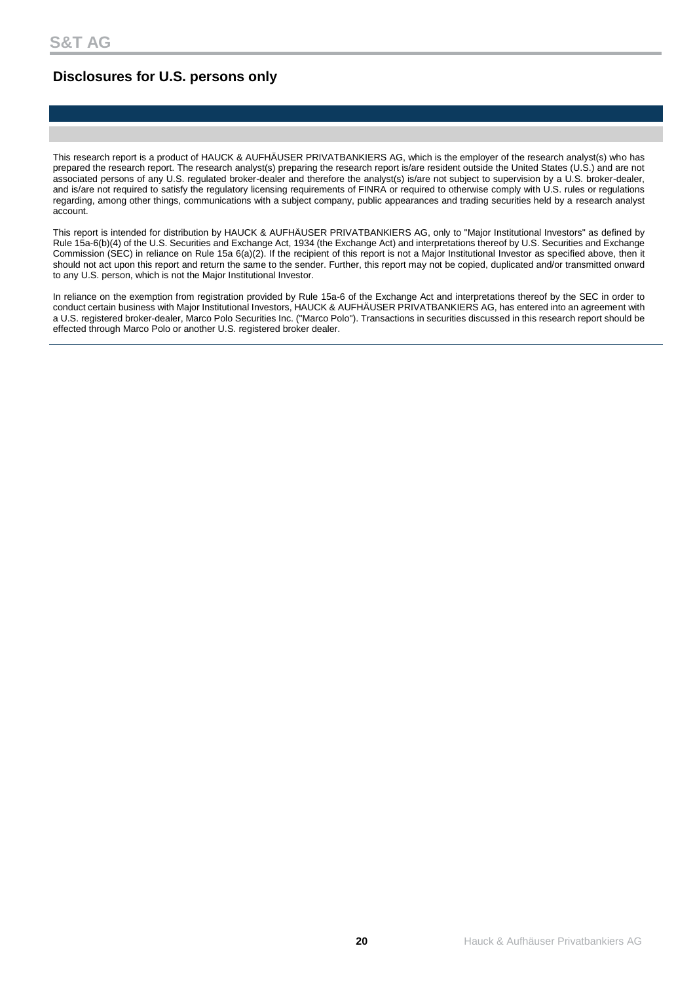# **Disclosures for U.S. persons only**

This research report is a product of HAUCK & AUFHÄUSER PRIVATBANKIERS AG, which is the employer of the research analyst(s) who has prepared the research report. The research analyst(s) preparing the research report is/are resident outside the United States (U.S.) and are not associated persons of any U.S. regulated broker-dealer and therefore the analyst(s) is/are not subject to supervision by a U.S. broker-dealer, and is/are not required to satisfy the regulatory licensing requirements of FINRA or required to otherwise comply with U.S. rules or regulations regarding, among other things, communications with a subject company, public appearances and trading securities held by a research analyst account.

This report is intended for distribution by HAUCK & AUFHÄUSER PRIVATBANKIERS AG, only to "Major Institutional Investors" as defined by Rule 15a-6(b)(4) of the U.S. Securities and Exchange Act, 1934 (the Exchange Act) and interpretations thereof by U.S. Securities and Exchange Commission (SEC) in reliance on Rule 15a 6(a)(2). If the recipient of this report is not a Major Institutional Investor as specified above, then it should not act upon this report and return the same to the sender. Further, this report may not be copied, duplicated and/or transmitted onward to any U.S. person, which is not the Major Institutional Investor.

In reliance on the exemption from registration provided by Rule 15a-6 of the Exchange Act and interpretations thereof by the SEC in order to conduct certain business with Major Institutional Investors, HAUCK & AUFHÄUSER PRIVATBANKIERS AG, has entered into an agreement with a U.S. registered broker-dealer, Marco Polo Securities Inc. ("Marco Polo"). Transactions in securities discussed in this research report should be effected through Marco Polo or another U.S. registered broker dealer.